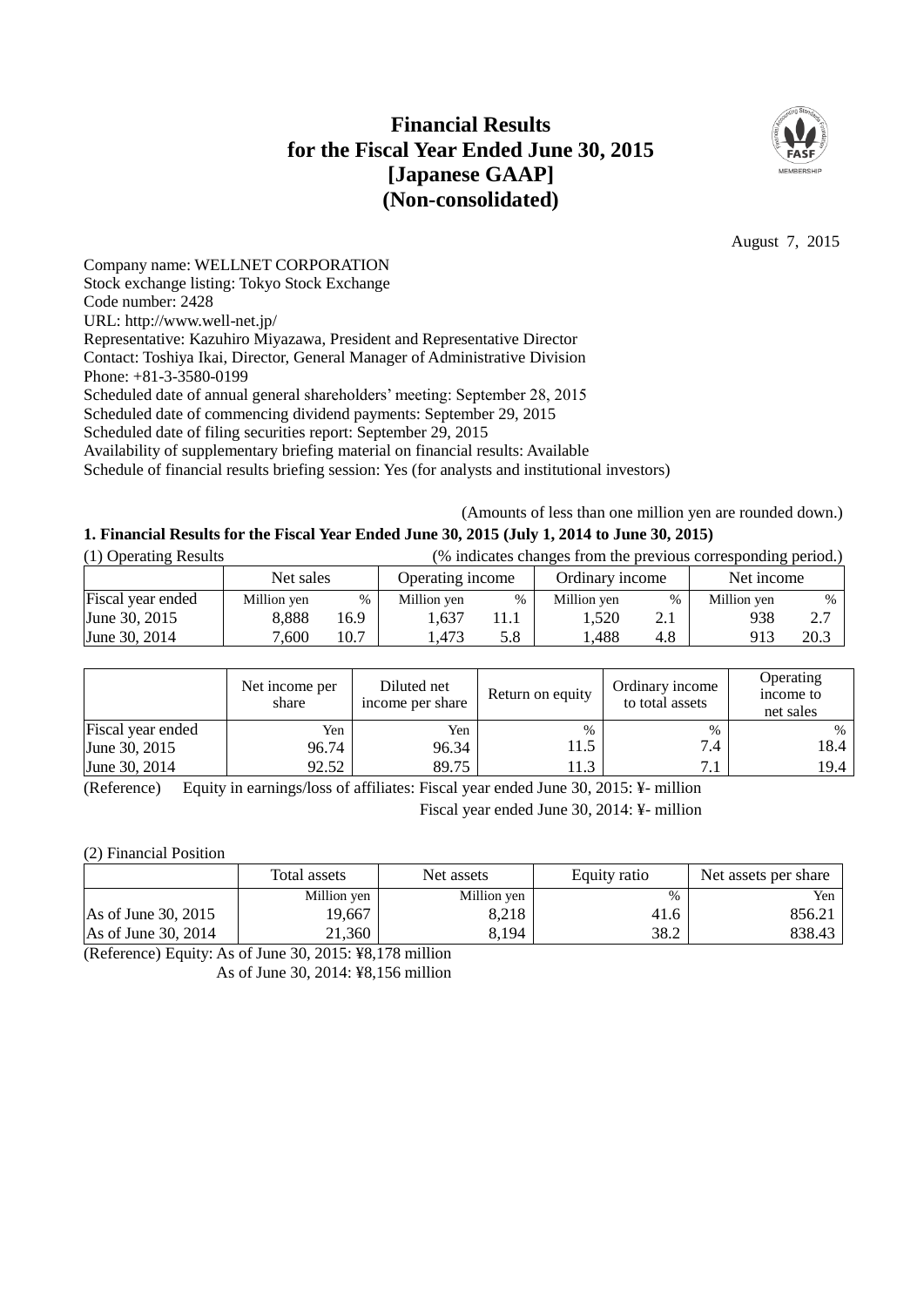## **Financial Results for the Fiscal Year Ended June 30, 2015 [Japanese GAAP] (Non-consolidated)**



August 7, 2015

Company name: WELLNET CORPORATION Stock exchange listing: Tokyo Stock Exchange Code number: 2428 URL: http://www.well-net.jp/ Representative: Kazuhiro Miyazawa, President and Representative Director Contact: Toshiya Ikai, Director, General Manager of Administrative Division Phone: +81-3-3580-0199 Scheduled date of annual general shareholders' meeting: September 28, 2015 Scheduled date of commencing dividend payments: September 29, 2015 Scheduled date of filing securities report: September 29, 2015 Availability of supplementary briefing material on financial results: Available

Schedule of financial results briefing session: Yes (for analysts and institutional investors)

(Amounts of less than one million yen are rounded down.)

## **1. Financial Results for the Fiscal Year Ended June 30, 2015 (July 1, 2014 to June 30, 2015)**

| (1) Operating Results | (% indicates changes from the previous corresponding period.) |      |                  |               |                 |     |             |      |
|-----------------------|---------------------------------------------------------------|------|------------------|---------------|-----------------|-----|-------------|------|
|                       | Net sales                                                     |      | Operating income |               | Ordinary income |     | Net income  |      |
| Fiscal year ended     | Million yen                                                   | %    | Million yen      | $\frac{0}{0}$ | Million yen     | %   | Million yen | $\%$ |
| June 30, 2015         | 8.888                                                         | 16.9 | 1.637            |               | 1.520           | 4.1 | 938         | 2.7  |
| June 30, 2014         | 7.600                                                         | 10.7 | . 473            | 5.8           | .488            | 4.8 | 913         | 20.3 |

|                   | Net income per<br>share | Diluted net<br>income per share | Return on equity | Ordinary income<br>to total assets | Operating<br>income to<br>net sales |
|-------------------|-------------------------|---------------------------------|------------------|------------------------------------|-------------------------------------|
| Fiscal year ended | Yen                     | Yen                             | $\%$             | $\%$                               | %                                   |
| June 30, 2015     | 96.74                   | 96.34                           | 11.5             | 7.4                                | 18.4                                |
| June 30, 2014     | 92.52                   | 89.75                           | 11.3             | ⇁                                  | 19.4                                |

(Reference) Equity in earnings/loss of affiliates: Fiscal year ended June 30, 2015: ¥- million Fiscal year ended June 30, 2014: ¥- million

(2) Financial Position

|                       | Total assets | Net assets  | Equity ratio | Net assets per share |
|-----------------------|--------------|-------------|--------------|----------------------|
|                       | Million yen  | Million yen | %            | Yen                  |
| As of June 30, $2015$ | 19,667       | 8.218       | 41.6         | 856.21               |
| As of June 30, 2014   | 21.360       | 8,194       | 38.2         | 838.43               |

(Reference) Equity: As of June 30, 2015: ¥8,178 million As of June 30, 2014: ¥8,156 million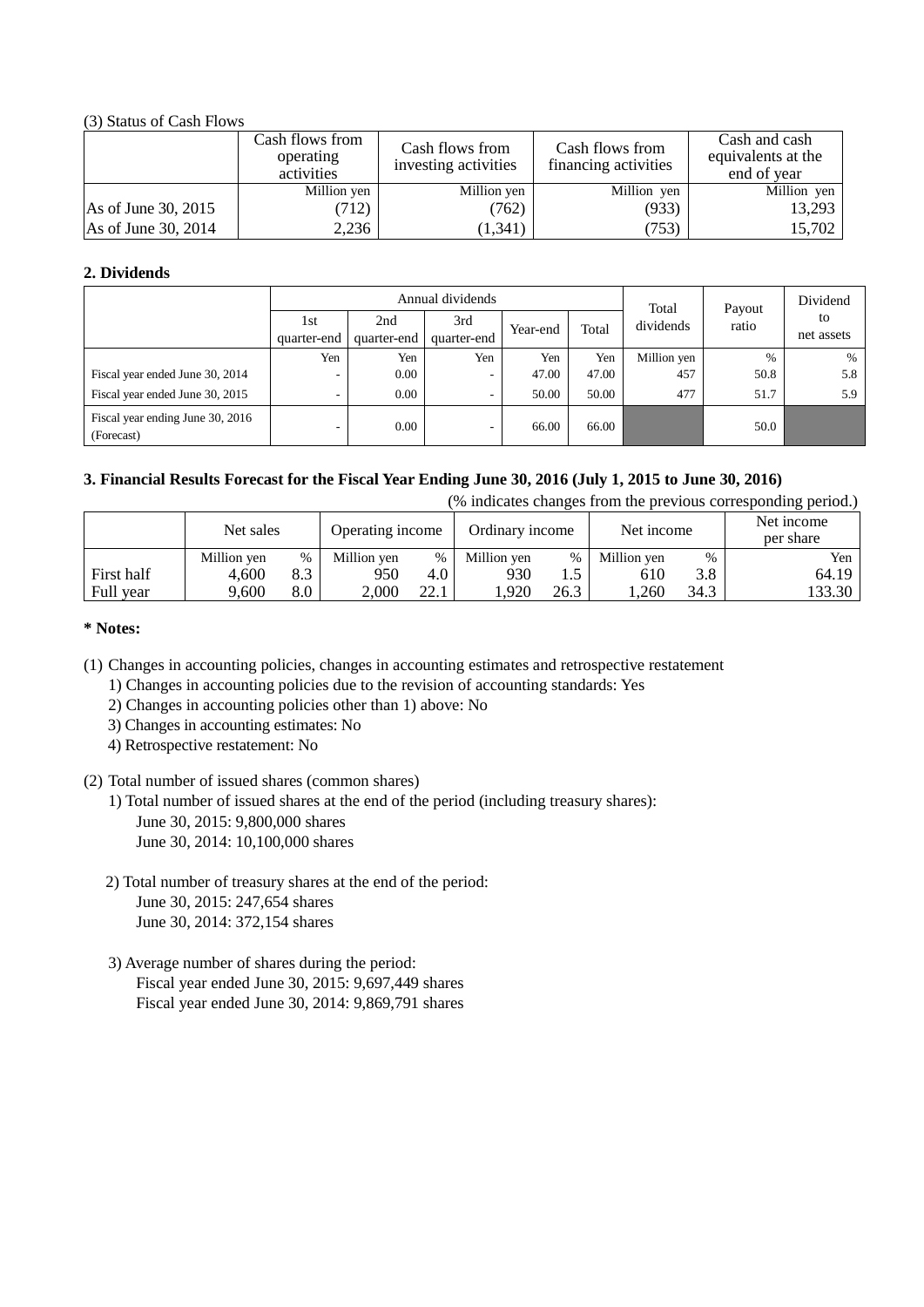## (3) Status of Cash Flows

|                     | Cash flows from<br>operating<br>activities | Cash flows from<br>investing activities | Cash flows from<br>financing activities | Cash and cash<br>equivalents at the<br>end of year |
|---------------------|--------------------------------------------|-----------------------------------------|-----------------------------------------|----------------------------------------------------|
|                     | Million yen                                | Million yen                             | Million yen                             | Million yen                                        |
| As of June 30, 2015 | (712)                                      | (762)                                   | (933)                                   | 13,293                                             |
| As of June 30, 2014 | 2,236                                      | (1, 341)                                | (753)                                   | 15,702                                             |

## **2. Dividends**

| Annual dividends                               |                    |                    |                    |          |       | Total       | Payout | Dividend         |
|------------------------------------------------|--------------------|--------------------|--------------------|----------|-------|-------------|--------|------------------|
|                                                | 1st<br>quarter-end | 2nd<br>quarter-end | 3rd<br>quarter-end | Year-end | Total | dividends   | ratio  | to<br>net assets |
|                                                | Yen                | Yen                | Yen                | Yen      | Yen   | Million yen | $\%$   | $\%$             |
| Fiscal year ended June 30, 2014                | ۰                  | 0.00               | ۰.                 | 47.00    | 47.00 | 457         | 50.8   | 5.8              |
| Fiscal year ended June 30, 2015                | ۰                  | 0.00               | ۰                  | 50.00    | 50.00 | 477         | 51.7   | 5.9              |
| Fiscal year ending June 30, 2016<br>(Forecast) | ۰                  | 0.00               | -                  | 66.00    | 66.00 |             | 50.0   |                  |

## **3. Financial Results Forecast for the Fiscal Year Ending June 30, 2016 (July 1, 2015 to June 30, 2016)**

| (% indicates changes from the previous corresponding period.) |  |  |  |
|---------------------------------------------------------------|--|--|--|

|            | Net sales   |      | Ordinary income<br>Operating income |      | Net income  |      | Net income<br>per share |      |        |
|------------|-------------|------|-------------------------------------|------|-------------|------|-------------------------|------|--------|
|            | Million yen | $\%$ | Million ven                         | %    | Million yen | $\%$ | Million yen             | $\%$ | Yen i  |
| First half | 4.600       | 8.3  | 950                                 | 4.0  | 930         | ن د  | 610                     | 3.8  | 64.19  |
| Full year  | 9,600       | 8.0  | 2,000                               | 22.1 | .920        | 26.3 | .260                    | 34.3 | 133.30 |

## **\* Notes:**

(1) Changes in accounting policies, changes in accounting estimates and retrospective restatement

1) Changes in accounting policies due to the revision of accounting standards: Yes

2) Changes in accounting policies other than 1) above: No

- 3) Changes in accounting estimates: No
- 4) Retrospective restatement: No

## (2) Total number of issued shares (common shares)

- 1) Total number of issued shares at the end of the period (including treasury shares):
	- June 30, 2015: 9,800,000 shares
	- June 30, 2014: 10,100,000 shares
- 2) Total number of treasury shares at the end of the period: June 30, 2015: 247,654 shares June 30, 2014: 372,154 shares
- 3) Average number of shares during the period: Fiscal year ended June 30, 2015: 9,697,449 shares Fiscal year ended June 30, 2014: 9,869,791 shares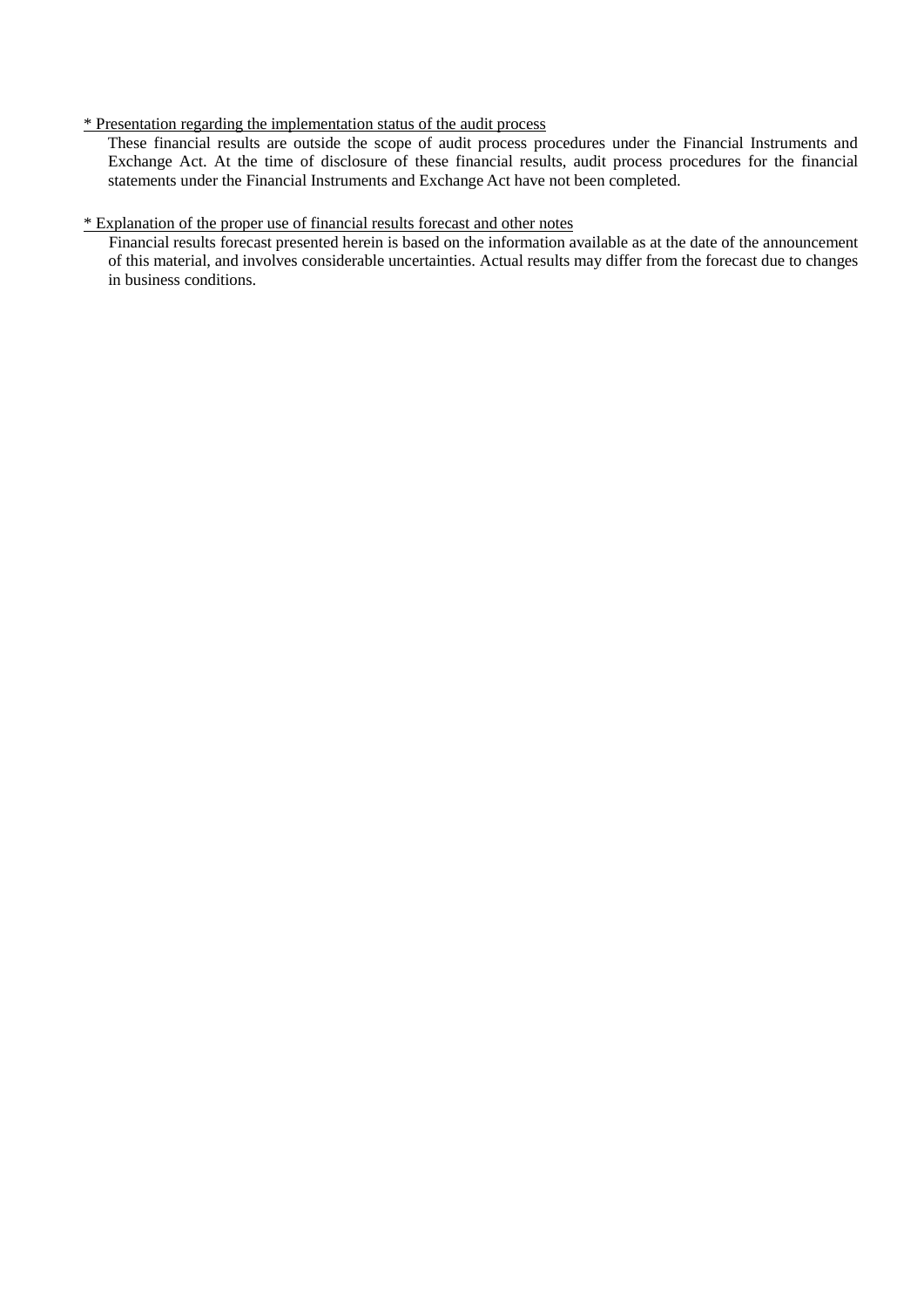## \* Presentation regarding the implementation status of the audit process

These financial results are outside the scope of audit process procedures under the Financial Instruments and Exchange Act. At the time of disclosure of these financial results, audit process procedures for the financial statements under the Financial Instruments and Exchange Act have not been completed.

## \* Explanation of the proper use of financial results forecast and other notes

Financial results forecast presented herein is based on the information available as at the date of the announcement of this material, and involves considerable uncertainties. Actual results may differ from the forecast due to changes in business conditions.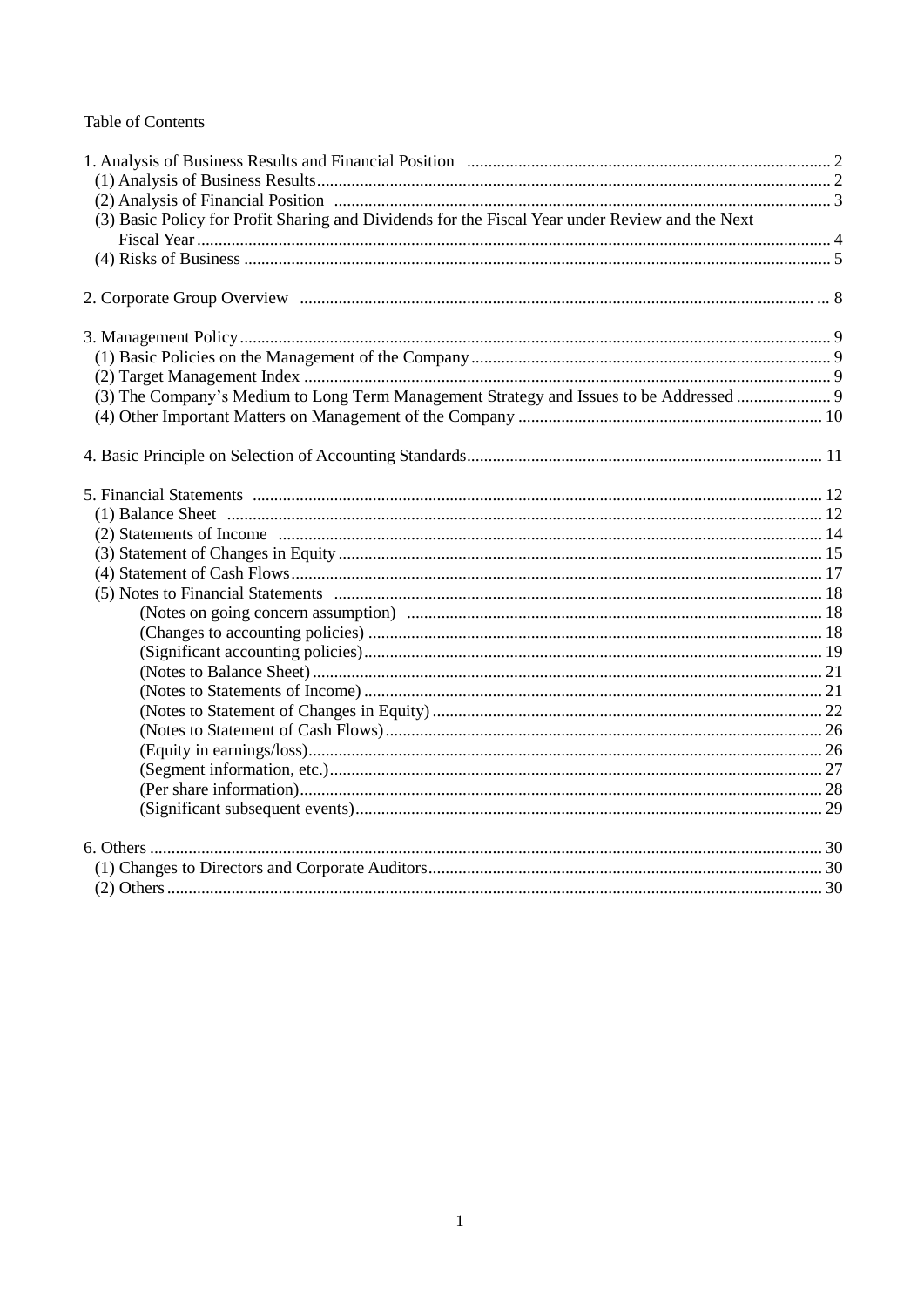## **Table of Contents**

| (3) Basic Policy for Profit Sharing and Dividends for the Fiscal Year under Review and the Next |  |
|-------------------------------------------------------------------------------------------------|--|
|                                                                                                 |  |
|                                                                                                 |  |
|                                                                                                 |  |
|                                                                                                 |  |
|                                                                                                 |  |
|                                                                                                 |  |
|                                                                                                 |  |
|                                                                                                 |  |
| (3) The Company's Medium to Long Term Management Strategy and Issues to be Addressed            |  |
|                                                                                                 |  |
|                                                                                                 |  |
|                                                                                                 |  |
|                                                                                                 |  |
|                                                                                                 |  |
|                                                                                                 |  |
|                                                                                                 |  |
|                                                                                                 |  |
|                                                                                                 |  |
|                                                                                                 |  |
|                                                                                                 |  |
|                                                                                                 |  |
|                                                                                                 |  |
|                                                                                                 |  |
|                                                                                                 |  |
|                                                                                                 |  |
|                                                                                                 |  |
|                                                                                                 |  |
|                                                                                                 |  |
|                                                                                                 |  |
|                                                                                                 |  |
|                                                                                                 |  |
|                                                                                                 |  |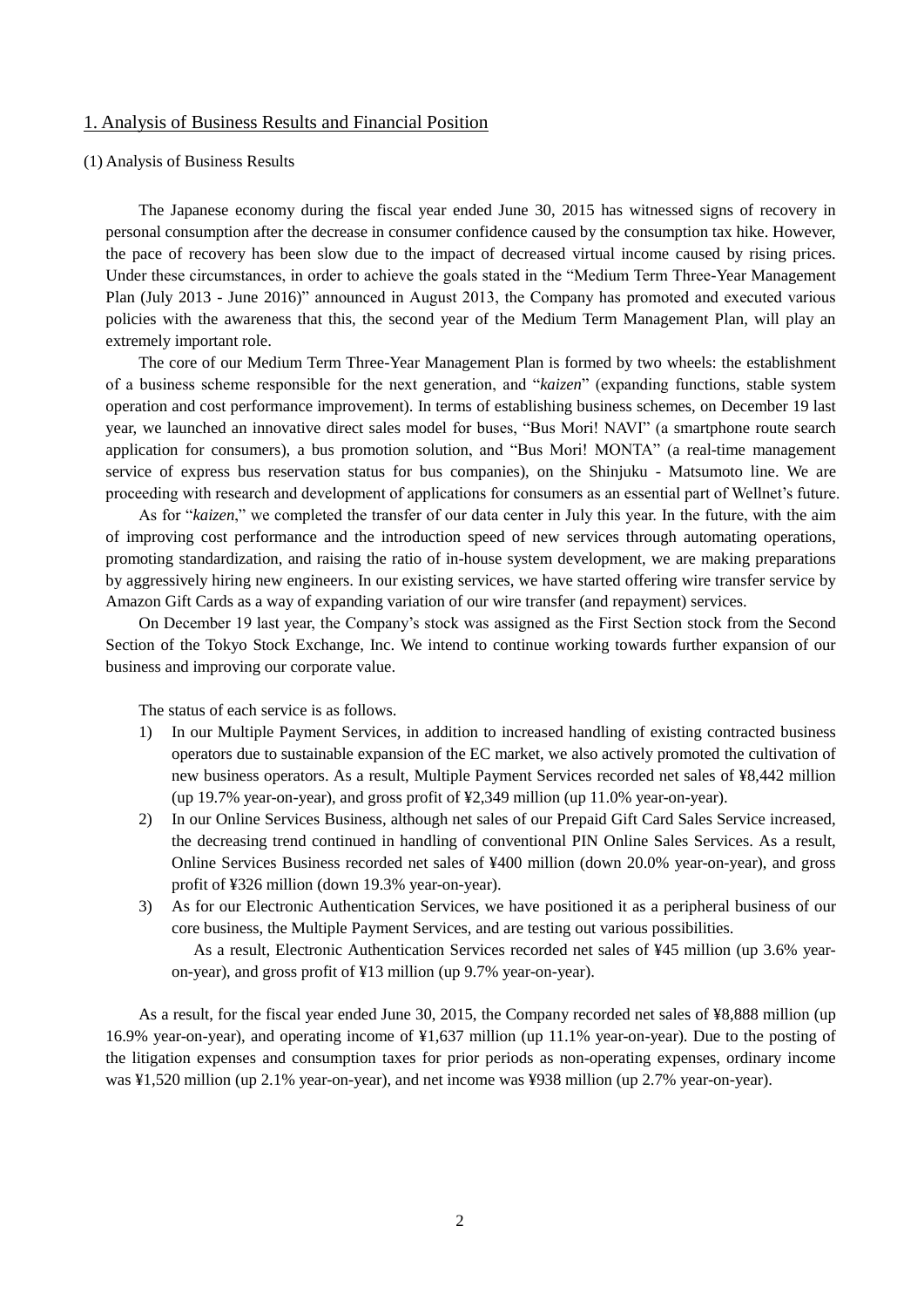## 1. Analysis of Business Results and Financial Position

#### (1) Analysis of Business Results

The Japanese economy during the fiscal year ended June 30, 2015 has witnessed signs of recovery in personal consumption after the decrease in consumer confidence caused by the consumption tax hike. However, the pace of recovery has been slow due to the impact of decreased virtual income caused by rising prices. Under these circumstances, in order to achieve the goals stated in the "Medium Term Three-Year Management Plan (July 2013 - June 2016)" announced in August 2013, the Company has promoted and executed various policies with the awareness that this, the second year of the Medium Term Management Plan, will play an extremely important role.

The core of our Medium Term Three-Year Management Plan is formed by two wheels: the establishment of a business scheme responsible for the next generation, and "*kaizen*" (expanding functions, stable system operation and cost performance improvement). In terms of establishing business schemes, on December 19 last year, we launched an innovative direct sales model for buses, "Bus Mori! NAVI" (a smartphone route search application for consumers), a bus promotion solution, and "Bus Mori! MONTA" (a real-time management service of express bus reservation status for bus companies), on the Shinjuku - Matsumoto line. We are proceeding with research and development of applications for consumers as an essential part of Wellnet's future.

As for "*kaizen*," we completed the transfer of our data center in July this year. In the future, with the aim of improving cost performance and the introduction speed of new services through automating operations, promoting standardization, and raising the ratio of in-house system development, we are making preparations by aggressively hiring new engineers. In our existing services, we have started offering wire transfer service by Amazon Gift Cards as a way of expanding variation of our wire transfer (and repayment) services.

On December 19 last year, the Company's stock was assigned as the First Section stock from the Second Section of the Tokyo Stock Exchange, Inc. We intend to continue working towards further expansion of our business and improving our corporate value.

The status of each service is as follows.

- 1) In our Multiple Payment Services, in addition to increased handling of existing contracted business operators due to sustainable expansion of the EC market, we also actively promoted the cultivation of new business operators. As a result, Multiple Payment Services recorded net sales of ¥8,442 million (up 19.7% year-on-year), and gross profit of ¥2,349 million (up 11.0% year-on-year).
- 2) In our Online Services Business, although net sales of our Prepaid Gift Card Sales Service increased, the decreasing trend continued in handling of conventional PIN Online Sales Services. As a result, Online Services Business recorded net sales of ¥400 million (down 20.0% year-on-year), and gross profit of ¥326 million (down 19.3% year-on-year).
- 3) As for our Electronic Authentication Services, we have positioned it as a peripheral business of our core business, the Multiple Payment Services, and are testing out various possibilities.

As a result, Electronic Authentication Services recorded net sales of ¥45 million (up 3.6% yearon-year), and gross profit of ¥13 million (up 9.7% year-on-year).

As a result, for the fiscal year ended June 30, 2015, the Company recorded net sales of ¥8,888 million (up 16.9% year-on-year), and operating income of ¥1,637 million (up 11.1% year-on-year). Due to the posting of the litigation expenses and consumption taxes for prior periods as non-operating expenses, ordinary income was ¥1,520 million (up 2.1% year-on-year), and net income was ¥938 million (up 2.7% year-on-year).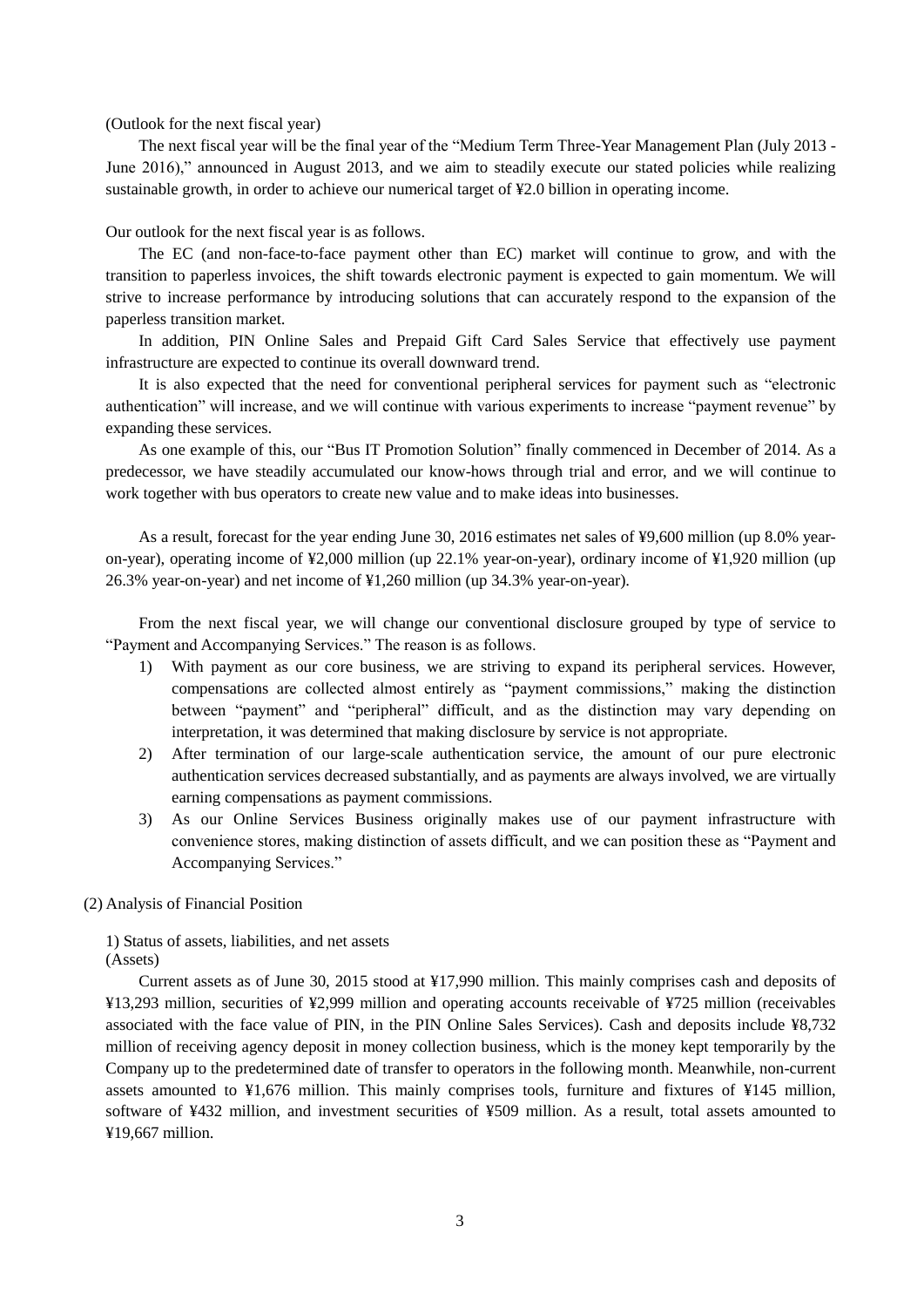(Outlook for the next fiscal year)

The next fiscal year will be the final year of the "Medium Term Three-Year Management Plan (July 2013 - June 2016)," announced in August 2013, and we aim to steadily execute our stated policies while realizing sustainable growth, in order to achieve our numerical target of ¥2.0 billion in operating income.

Our outlook for the next fiscal year is as follows.

The EC (and non-face-to-face payment other than EC) market will continue to grow, and with the transition to paperless invoices, the shift towards electronic payment is expected to gain momentum. We will strive to increase performance by introducing solutions that can accurately respond to the expansion of the paperless transition market.

In addition, PIN Online Sales and Prepaid Gift Card Sales Service that effectively use payment infrastructure are expected to continue its overall downward trend.

It is also expected that the need for conventional peripheral services for payment such as "electronic authentication" will increase, and we will continue with various experiments to increase "payment revenue" by expanding these services.

As one example of this, our "Bus IT Promotion Solution" finally commenced in December of 2014. As a predecessor, we have steadily accumulated our know-hows through trial and error, and we will continue to work together with bus operators to create new value and to make ideas into businesses.

As a result, forecast for the year ending June 30, 2016 estimates net sales of ¥9,600 million (up 8.0% yearon-year), operating income of ¥2,000 million (up 22.1% year-on-year), ordinary income of ¥1,920 million (up 26.3% year-on-year) and net income of ¥1,260 million (up 34.3% year-on-year).

From the next fiscal year, we will change our conventional disclosure grouped by type of service to "Payment and Accompanying Services." The reason is as follows.

- 1) With payment as our core business, we are striving to expand its peripheral services. However, compensations are collected almost entirely as "payment commissions," making the distinction between "payment" and "peripheral" difficult, and as the distinction may vary depending on interpretation, it was determined that making disclosure by service is not appropriate.
- 2) After termination of our large-scale authentication service, the amount of our pure electronic authentication services decreased substantially, and as payments are always involved, we are virtually earning compensations as payment commissions.
- 3) As our Online Services Business originally makes use of our payment infrastructure with convenience stores, making distinction of assets difficult, and we can position these as "Payment and Accompanying Services."

(2) Analysis of Financial Position

1) Status of assets, liabilities, and net assets (Assets)

Current assets as of June 30, 2015 stood at ¥17,990 million. This mainly comprises cash and deposits of ¥13,293 million, securities of ¥2,999 million and operating accounts receivable of ¥725 million (receivables associated with the face value of PIN, in the PIN Online Sales Services). Cash and deposits include ¥8,732 million of receiving agency deposit in money collection business, which is the money kept temporarily by the Company up to the predetermined date of transfer to operators in the following month. Meanwhile, non-current assets amounted to ¥1,676 million. This mainly comprises tools, furniture and fixtures of ¥145 million, software of ¥432 million, and investment securities of ¥509 million. As a result, total assets amounted to ¥19,667 million.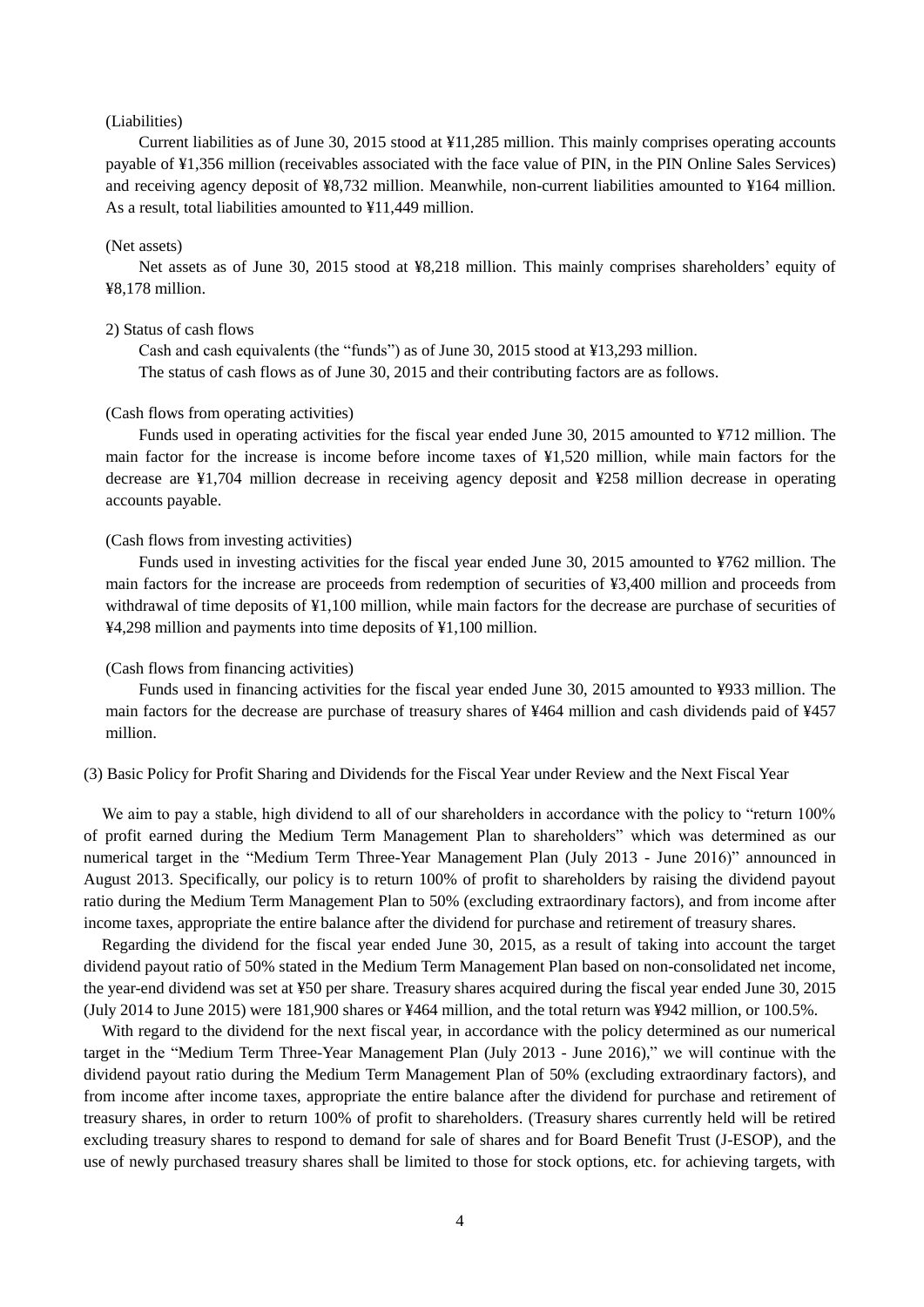#### (Liabilities)

Current liabilities as of June 30, 2015 stood at ¥11,285 million. This mainly comprises operating accounts payable of ¥1,356 million (receivables associated with the face value of PIN, in the PIN Online Sales Services) and receiving agency deposit of ¥8,732 million. Meanwhile, non-current liabilities amounted to ¥164 million. As a result, total liabilities amounted to ¥11,449 million.

#### (Net assets)

Net assets as of June 30, 2015 stood at ¥8,218 million. This mainly comprises shareholders' equity of ¥8,178 million.

#### 2) Status of cash flows

Cash and cash equivalents (the "funds") as of June 30, 2015 stood at ¥13,293 million. The status of cash flows as of June 30, 2015 and their contributing factors are as follows.

#### (Cash flows from operating activities)

Funds used in operating activities for the fiscal year ended June 30, 2015 amounted to ¥712 million. The main factor for the increase is income before income taxes of ¥1,520 million, while main factors for the decrease are ¥1,704 million decrease in receiving agency deposit and ¥258 million decrease in operating accounts payable.

### (Cash flows from investing activities)

Funds used in investing activities for the fiscal year ended June 30, 2015 amounted to ¥762 million. The main factors for the increase are proceeds from redemption of securities of ¥3,400 million and proceeds from withdrawal of time deposits of ¥1,100 million, while main factors for the decrease are purchase of securities of ¥4,298 million and payments into time deposits of ¥1,100 million.

#### (Cash flows from financing activities)

Funds used in financing activities for the fiscal year ended June 30, 2015 amounted to ¥933 million. The main factors for the decrease are purchase of treasury shares of ¥464 million and cash dividends paid of ¥457 million.

(3) Basic Policy for Profit Sharing and Dividends for the Fiscal Year under Review and the Next Fiscal Year

We aim to pay a stable, high dividend to all of our shareholders in accordance with the policy to "return 100% of profit earned during the Medium Term Management Plan to shareholders" which was determined as our numerical target in the "Medium Term Three-Year Management Plan (July 2013 - June 2016)" announced in August 2013. Specifically, our policy is to return 100% of profit to shareholders by raising the dividend payout ratio during the Medium Term Management Plan to 50% (excluding extraordinary factors), and from income after income taxes, appropriate the entire balance after the dividend for purchase and retirement of treasury shares.

Regarding the dividend for the fiscal year ended June 30, 2015, as a result of taking into account the target dividend payout ratio of 50% stated in the Medium Term Management Plan based on non-consolidated net income, the year-end dividend was set at ¥50 per share. Treasury shares acquired during the fiscal year ended June 30, 2015 (July 2014 to June 2015) were 181,900 shares or ¥464 million, and the total return was ¥942 million, or 100.5%.

With regard to the dividend for the next fiscal year, in accordance with the policy determined as our numerical target in the "Medium Term Three-Year Management Plan (July 2013 - June 2016)," we will continue with the dividend payout ratio during the Medium Term Management Plan of 50% (excluding extraordinary factors), and from income after income taxes, appropriate the entire balance after the dividend for purchase and retirement of treasury shares, in order to return 100% of profit to shareholders. (Treasury shares currently held will be retired excluding treasury shares to respond to demand for sale of shares and for Board Benefit Trust (J-ESOP), and the use of newly purchased treasury shares shall be limited to those for stock options, etc. for achieving targets, with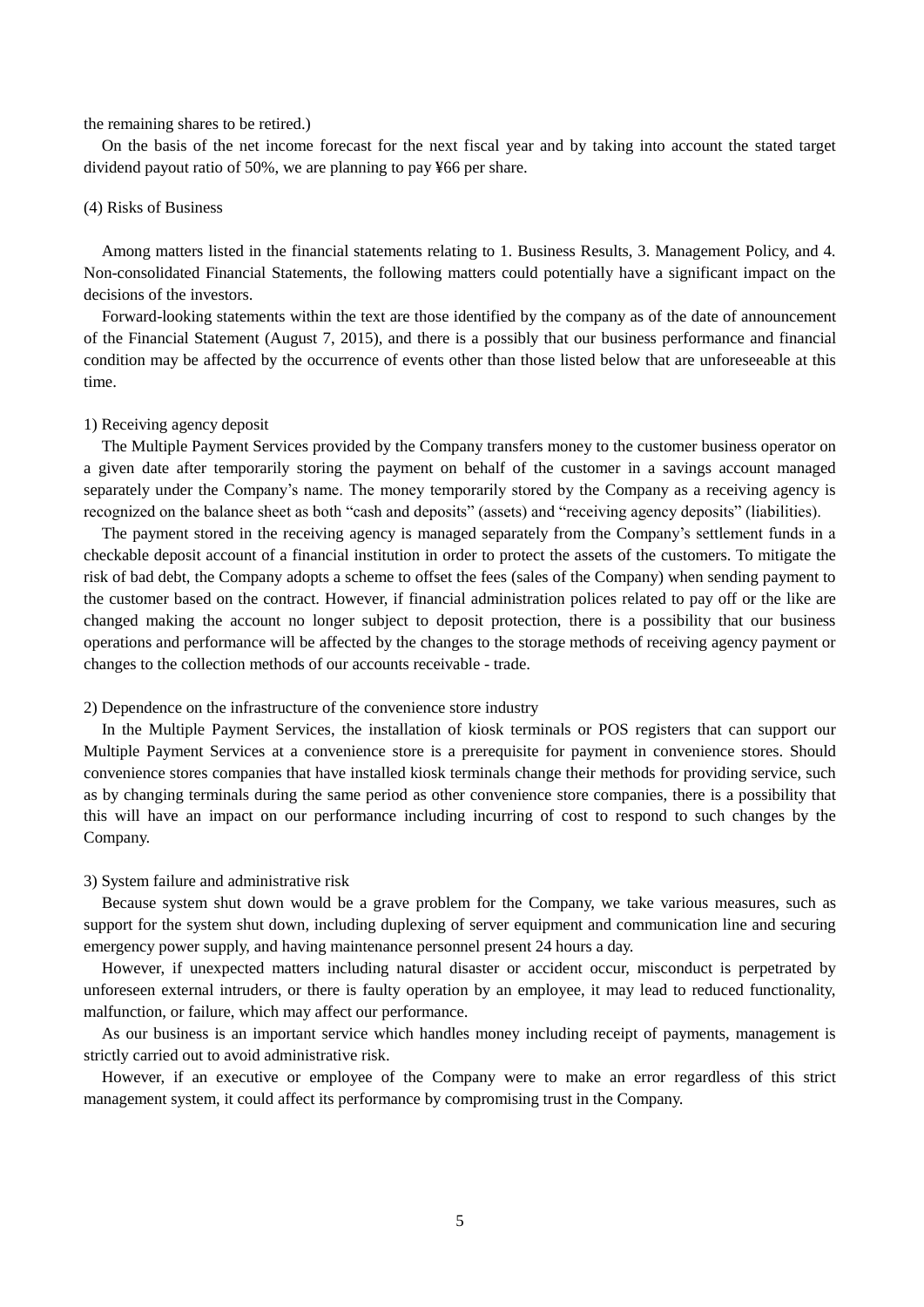#### the remaining shares to be retired.)

On the basis of the net income forecast for the next fiscal year and by taking into account the stated target dividend payout ratio of 50%, we are planning to pay ¥66 per share.

#### (4) Risks of Business

Among matters listed in the financial statements relating to 1. Business Results, 3. Management Policy, and 4. Non-consolidated Financial Statements, the following matters could potentially have a significant impact on the decisions of the investors.

Forward-looking statements within the text are those identified by the company as of the date of announcement of the Financial Statement (August 7, 2015), and there is a possibly that our business performance and financial condition may be affected by the occurrence of events other than those listed below that are unforeseeable at this time.

#### 1) Receiving agency deposit

The Multiple Payment Services provided by the Company transfers money to the customer business operator on a given date after temporarily storing the payment on behalf of the customer in a savings account managed separately under the Company's name. The money temporarily stored by the Company as a receiving agency is recognized on the balance sheet as both "cash and deposits" (assets) and "receiving agency deposits" (liabilities).

The payment stored in the receiving agency is managed separately from the Company's settlement funds in a checkable deposit account of a financial institution in order to protect the assets of the customers. To mitigate the risk of bad debt, the Company adopts a scheme to offset the fees (sales of the Company) when sending payment to the customer based on the contract. However, if financial administration polices related to pay off or the like are changed making the account no longer subject to deposit protection, there is a possibility that our business operations and performance will be affected by the changes to the storage methods of receiving agency payment or changes to the collection methods of our accounts receivable - trade.

#### 2) Dependence on the infrastructure of the convenience store industry

In the Multiple Payment Services, the installation of kiosk terminals or POS registers that can support our Multiple Payment Services at a convenience store is a prerequisite for payment in convenience stores. Should convenience stores companies that have installed kiosk terminals change their methods for providing service, such as by changing terminals during the same period as other convenience store companies, there is a possibility that this will have an impact on our performance including incurring of cost to respond to such changes by the Company.

#### 3) System failure and administrative risk

Because system shut down would be a grave problem for the Company, we take various measures, such as support for the system shut down, including duplexing of server equipment and communication line and securing emergency power supply, and having maintenance personnel present 24 hours a day.

However, if unexpected matters including natural disaster or accident occur, misconduct is perpetrated by unforeseen external intruders, or there is faulty operation by an employee, it may lead to reduced functionality, malfunction, or failure, which may affect our performance.

As our business is an important service which handles money including receipt of payments, management is strictly carried out to avoid administrative risk.

However, if an executive or employee of the Company were to make an error regardless of this strict management system, it could affect its performance by compromising trust in the Company.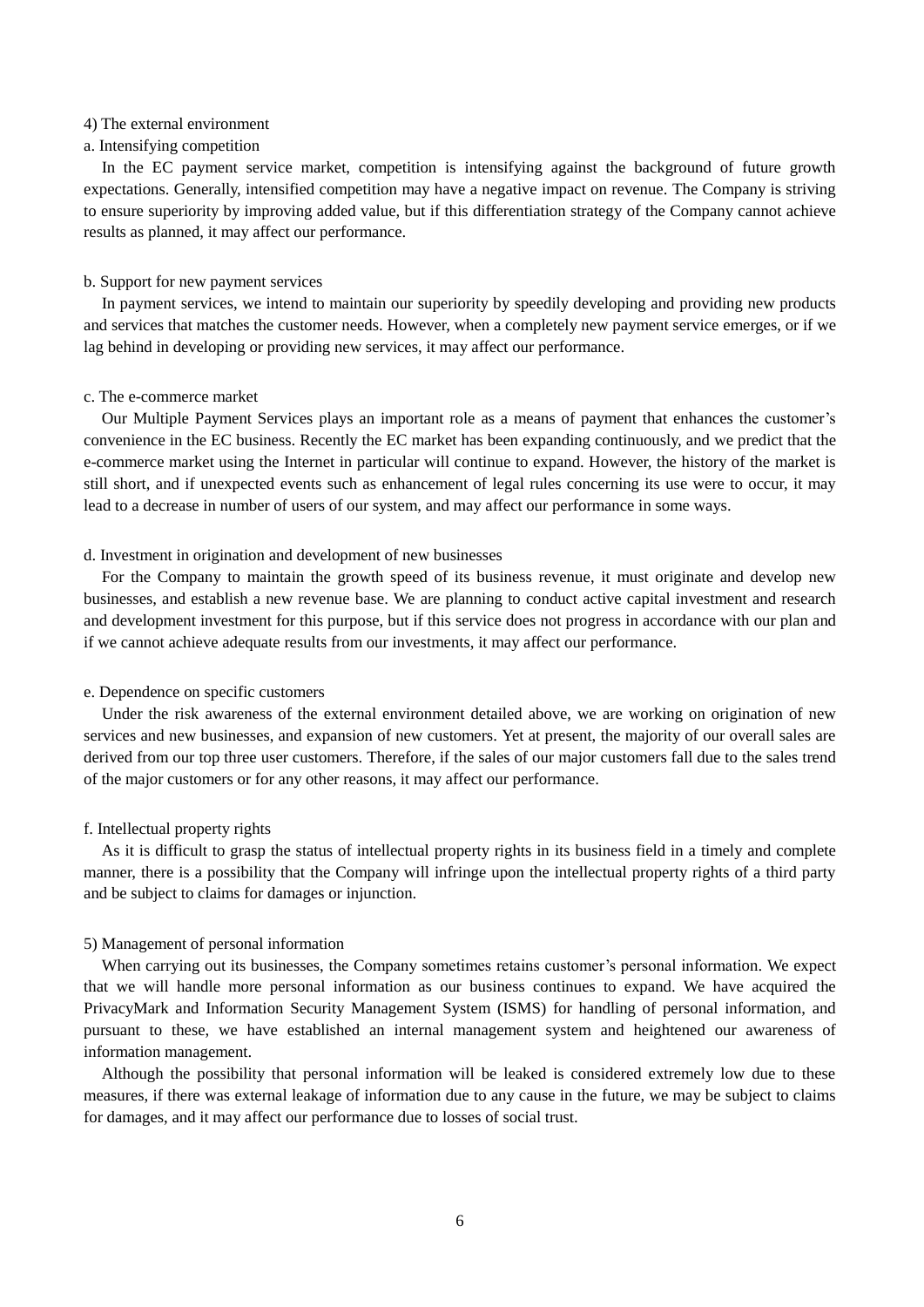## 4) The external environment

### a. Intensifying competition

In the EC payment service market, competition is intensifying against the background of future growth expectations. Generally, intensified competition may have a negative impact on revenue. The Company is striving to ensure superiority by improving added value, but if this differentiation strategy of the Company cannot achieve results as planned, it may affect our performance.

#### b. Support for new payment services

In payment services, we intend to maintain our superiority by speedily developing and providing new products and services that matches the customer needs. However, when a completely new payment service emerges, or if we lag behind in developing or providing new services, it may affect our performance.

#### c. The e-commerce market

Our Multiple Payment Services plays an important role as a means of payment that enhances the customer's convenience in the EC business. Recently the EC market has been expanding continuously, and we predict that the e-commerce market using the Internet in particular will continue to expand. However, the history of the market is still short, and if unexpected events such as enhancement of legal rules concerning its use were to occur, it may lead to a decrease in number of users of our system, and may affect our performance in some ways.

#### d. Investment in origination and development of new businesses

For the Company to maintain the growth speed of its business revenue, it must originate and develop new businesses, and establish a new revenue base. We are planning to conduct active capital investment and research and development investment for this purpose, but if this service does not progress in accordance with our plan and if we cannot achieve adequate results from our investments, it may affect our performance.

#### e. Dependence on specific customers

Under the risk awareness of the external environment detailed above, we are working on origination of new services and new businesses, and expansion of new customers. Yet at present, the majority of our overall sales are derived from our top three user customers. Therefore, if the sales of our major customers fall due to the sales trend of the major customers or for any other reasons, it may affect our performance.

#### f. Intellectual property rights

As it is difficult to grasp the status of intellectual property rights in its business field in a timely and complete manner, there is a possibility that the Company will infringe upon the intellectual property rights of a third party and be subject to claims for damages or injunction.

#### 5) Management of personal information

When carrying out its businesses, the Company sometimes retains customer's personal information. We expect that we will handle more personal information as our business continues to expand. We have acquired the PrivacyMark and Information Security Management System (ISMS) for handling of personal information, and pursuant to these, we have established an internal management system and heightened our awareness of information management.

Although the possibility that personal information will be leaked is considered extremely low due to these measures, if there was external leakage of information due to any cause in the future, we may be subject to claims for damages, and it may affect our performance due to losses of social trust.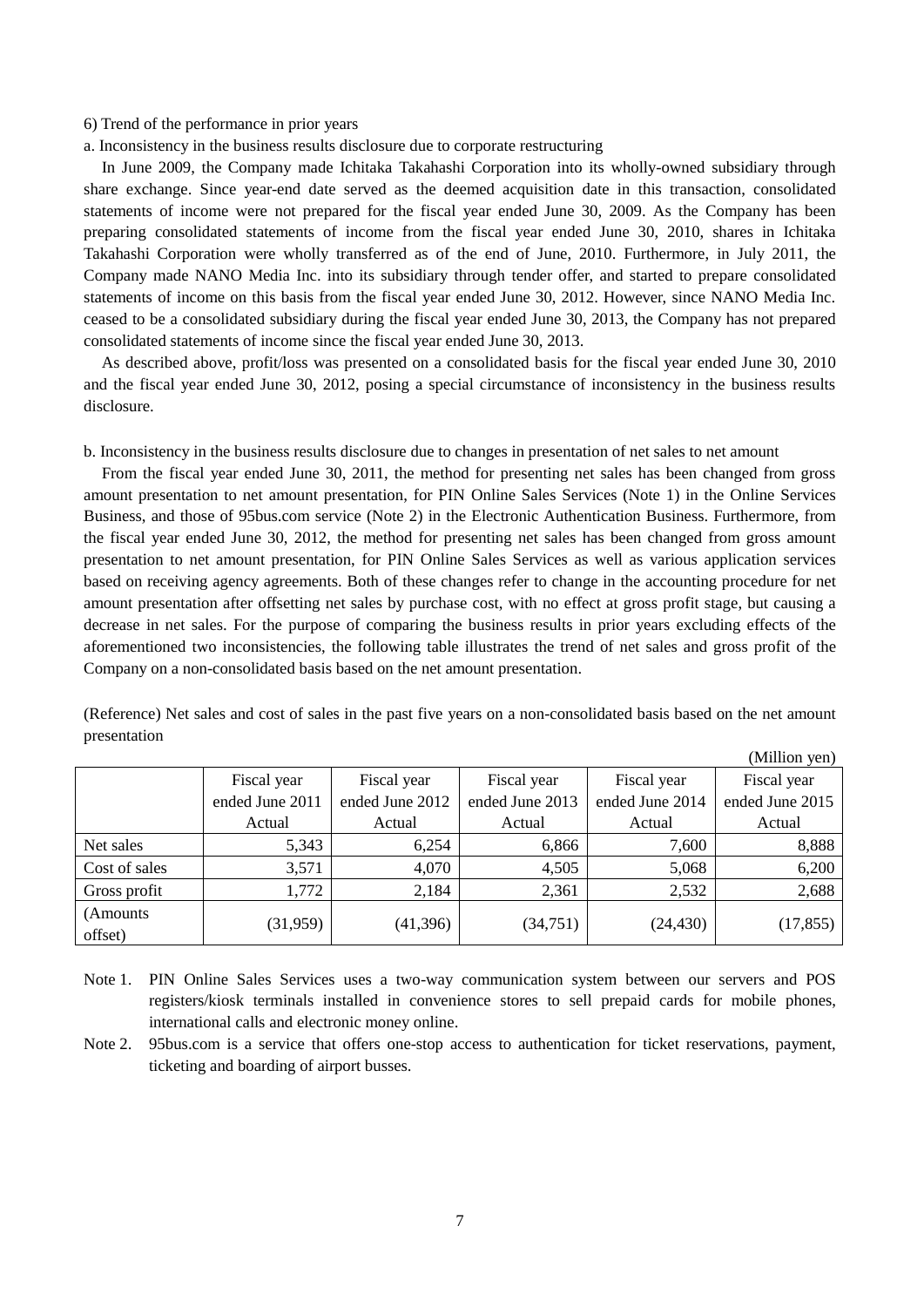### 6) Trend of the performance in prior years

a. Inconsistency in the business results disclosure due to corporate restructuring

In June 2009, the Company made Ichitaka Takahashi Corporation into its wholly-owned subsidiary through share exchange. Since year-end date served as the deemed acquisition date in this transaction, consolidated statements of income were not prepared for the fiscal year ended June 30, 2009. As the Company has been preparing consolidated statements of income from the fiscal year ended June 30, 2010, shares in Ichitaka Takahashi Corporation were wholly transferred as of the end of June, 2010. Furthermore, in July 2011, the Company made NANO Media Inc. into its subsidiary through tender offer, and started to prepare consolidated statements of income on this basis from the fiscal year ended June 30, 2012. However, since NANO Media Inc. ceased to be a consolidated subsidiary during the fiscal year ended June 30, 2013, the Company has not prepared consolidated statements of income since the fiscal year ended June 30, 2013.

As described above, profit/loss was presented on a consolidated basis for the fiscal year ended June 30, 2010 and the fiscal year ended June 30, 2012, posing a special circumstance of inconsistency in the business results disclosure.

b. Inconsistency in the business results disclosure due to changes in presentation of net sales to net amount

From the fiscal year ended June 30, 2011, the method for presenting net sales has been changed from gross amount presentation to net amount presentation, for PIN Online Sales Services (Note 1) in the Online Services Business, and those of 95bus.com service (Note 2) in the Electronic Authentication Business. Furthermore, from the fiscal year ended June 30, 2012, the method for presenting net sales has been changed from gross amount presentation to net amount presentation, for PIN Online Sales Services as well as various application services based on receiving agency agreements. Both of these changes refer to change in the accounting procedure for net amount presentation after offsetting net sales by purchase cost, with no effect at gross profit stage, but causing a decrease in net sales. For the purpose of comparing the business results in prior years excluding effects of the aforementioned two inconsistencies, the following table illustrates the trend of net sales and gross profit of the Company on a non-consolidated basis based on the net amount presentation.

(Reference) Net sales and cost of sales in the past five years on a non-consolidated basis based on the net amount presentation

|                      |                 |                 |                 |                 | (Million yen)   |
|----------------------|-----------------|-----------------|-----------------|-----------------|-----------------|
|                      | Fiscal year     | Fiscal year     | Fiscal year     | Fiscal year     | Fiscal year     |
|                      | ended June 2011 | ended June 2012 | ended June 2013 | ended June 2014 | ended June 2015 |
|                      | Actual          | Actual          | Actual          | Actual          | Actual          |
| Net sales            | 5,343           | 6,254           | 6,866           | 7,600           | 8,888           |
| Cost of sales        | 3,571           | 4,070           | 4,505           | 5,068           | 6,200           |
| Gross profit         | 1,772           | 2,184           | 2,361           | 2,532           | 2,688           |
| (Amounts)<br>offset) | (31,959)        | (41,396)        | (34,751)        | (24, 430)       | (17, 855)       |

Note 1. PIN Online Sales Services uses a two-way communication system between our servers and POS registers/kiosk terminals installed in convenience stores to sell prepaid cards for mobile phones, international calls and electronic money online.

Note 2. 95bus.com is a service that offers one-stop access to authentication for ticket reservations, payment, ticketing and boarding of airport busses.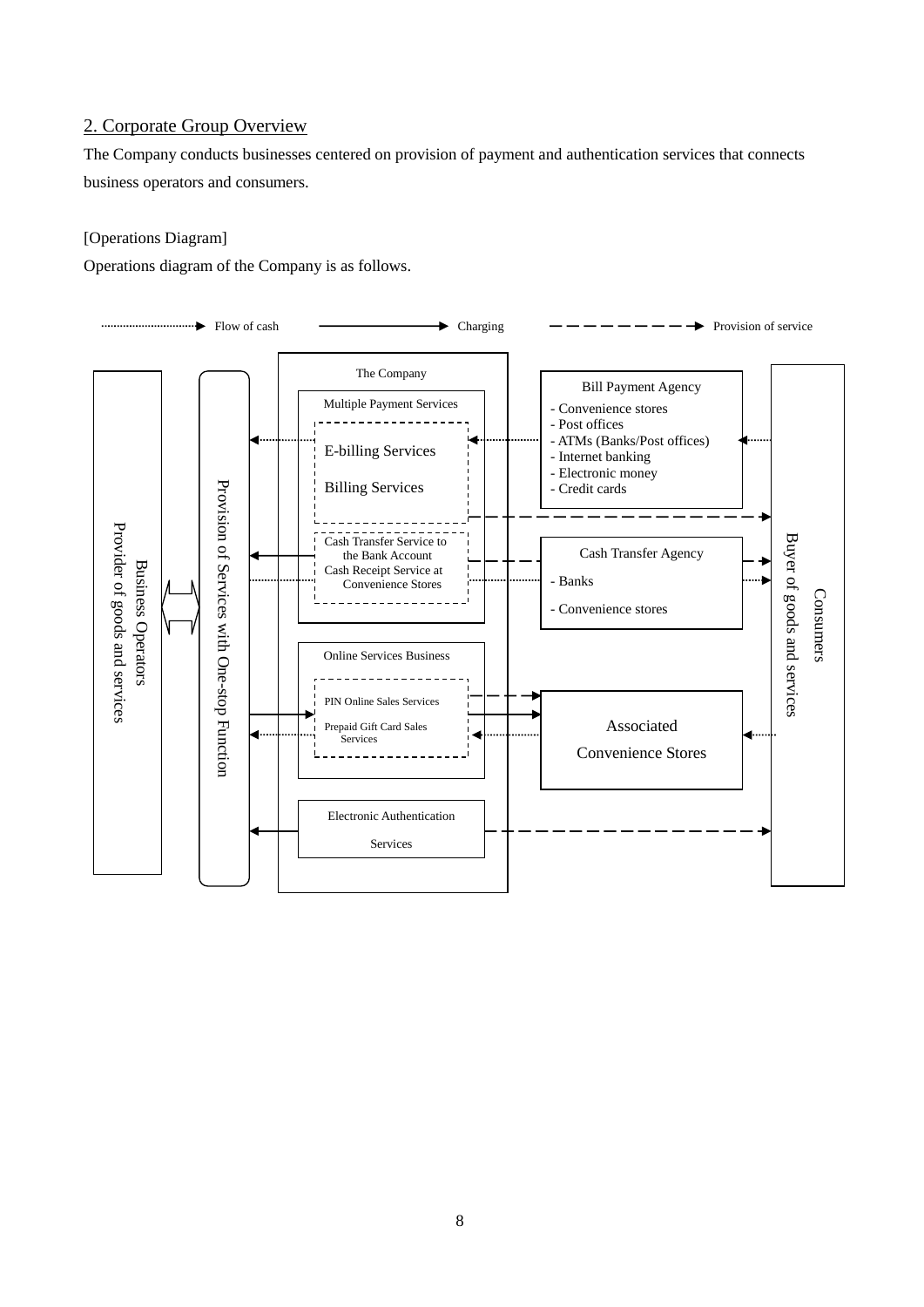## 2. Corporate Group Overview

The Company conducts businesses centered on provision of payment and authentication services that connects business operators and consumers.

## [Operations Diagram]

Operations diagram of the Company is as follows.

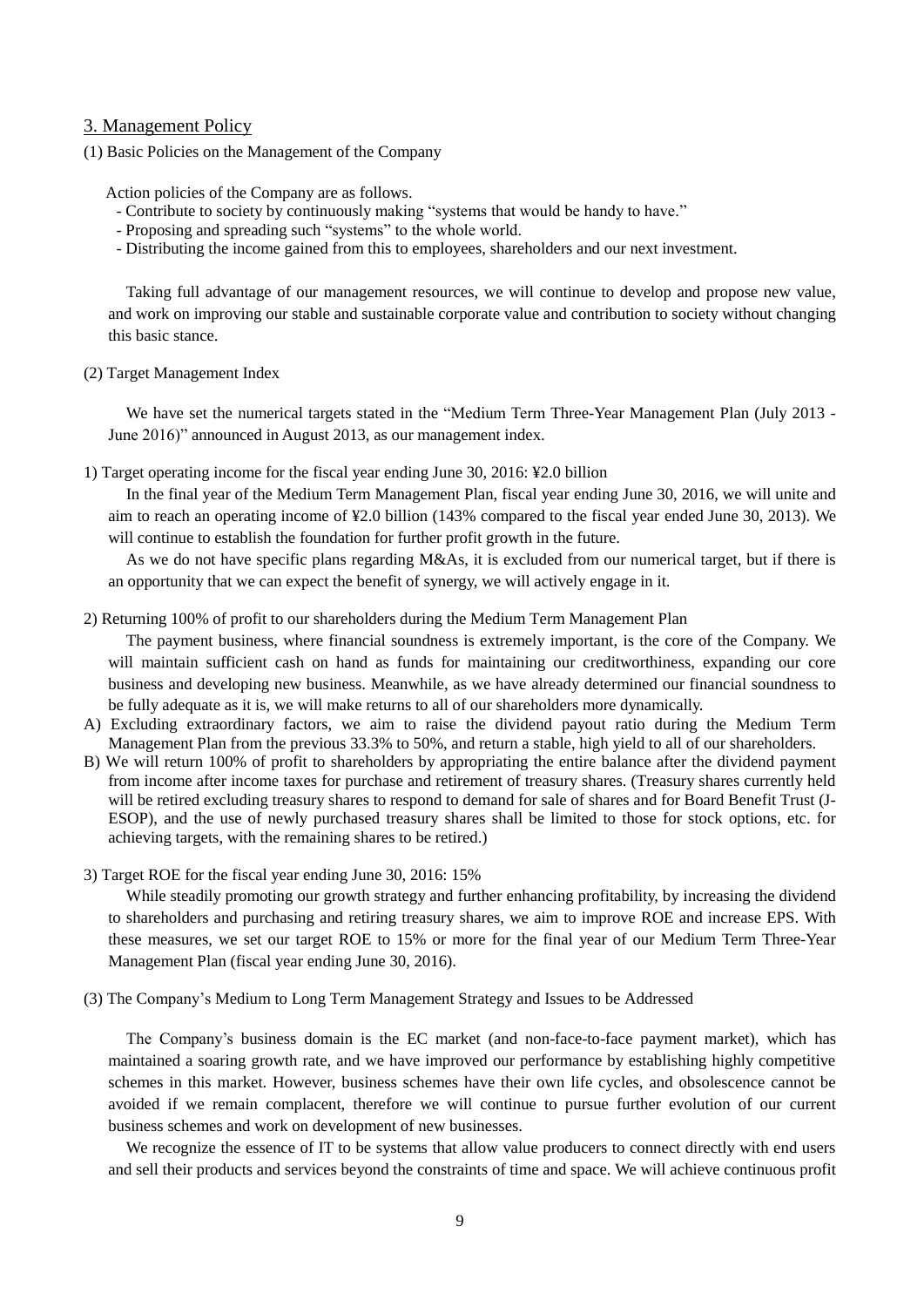## 3. Management Policy

(1) Basic Policies on the Management of the Company

Action policies of the Company are as follows.

- Contribute to society by continuously making "systems that would be handy to have."
- Proposing and spreading such "systems" to the whole world.
- Distributing the income gained from this to employees, shareholders and our next investment.

Taking full advantage of our management resources, we will continue to develop and propose new value, and work on improving our stable and sustainable corporate value and contribution to society without changing this basic stance.

(2) Target Management Index

We have set the numerical targets stated in the "Medium Term Three-Year Management Plan (July 2013 - June 2016)" announced in August 2013, as our management index.

1) Target operating income for the fiscal year ending June 30, 2016: ¥2.0 billion

In the final year of the Medium Term Management Plan, fiscal year ending June 30, 2016, we will unite and aim to reach an operating income of ¥2.0 billion (143% compared to the fiscal year ended June 30, 2013). We will continue to establish the foundation for further profit growth in the future.

As we do not have specific plans regarding M&As, it is excluded from our numerical target, but if there is an opportunity that we can expect the benefit of synergy, we will actively engage in it.

2) Returning 100% of profit to our shareholders during the Medium Term Management Plan

The payment business, where financial soundness is extremely important, is the core of the Company. We will maintain sufficient cash on hand as funds for maintaining our creditworthiness, expanding our core business and developing new business. Meanwhile, as we have already determined our financial soundness to be fully adequate as it is, we will make returns to all of our shareholders more dynamically.

- A) Excluding extraordinary factors, we aim to raise the dividend payout ratio during the Medium Term Management Plan from the previous 33.3% to 50%, and return a stable, high yield to all of our shareholders.
- B) We will return 100% of profit to shareholders by appropriating the entire balance after the dividend payment from income after income taxes for purchase and retirement of treasury shares. (Treasury shares currently held will be retired excluding treasury shares to respond to demand for sale of shares and for Board Benefit Trust (J-ESOP), and the use of newly purchased treasury shares shall be limited to those for stock options, etc. for achieving targets, with the remaining shares to be retired.)
- 3) Target ROE for the fiscal year ending June 30, 2016: 15%

While steadily promoting our growth strategy and further enhancing profitability, by increasing the dividend to shareholders and purchasing and retiring treasury shares, we aim to improve ROE and increase EPS. With these measures, we set our target ROE to 15% or more for the final year of our Medium Term Three-Year Management Plan (fiscal year ending June 30, 2016).

(3) The Company's Medium to Long Term Management Strategy and Issues to be Addressed

The Company's business domain is the EC market (and non-face-to-face payment market), which has maintained a soaring growth rate, and we have improved our performance by establishing highly competitive schemes in this market. However, business schemes have their own life cycles, and obsolescence cannot be avoided if we remain complacent, therefore we will continue to pursue further evolution of our current business schemes and work on development of new businesses.

We recognize the essence of IT to be systems that allow value producers to connect directly with end users and sell their products and services beyond the constraints of time and space. We will achieve continuous profit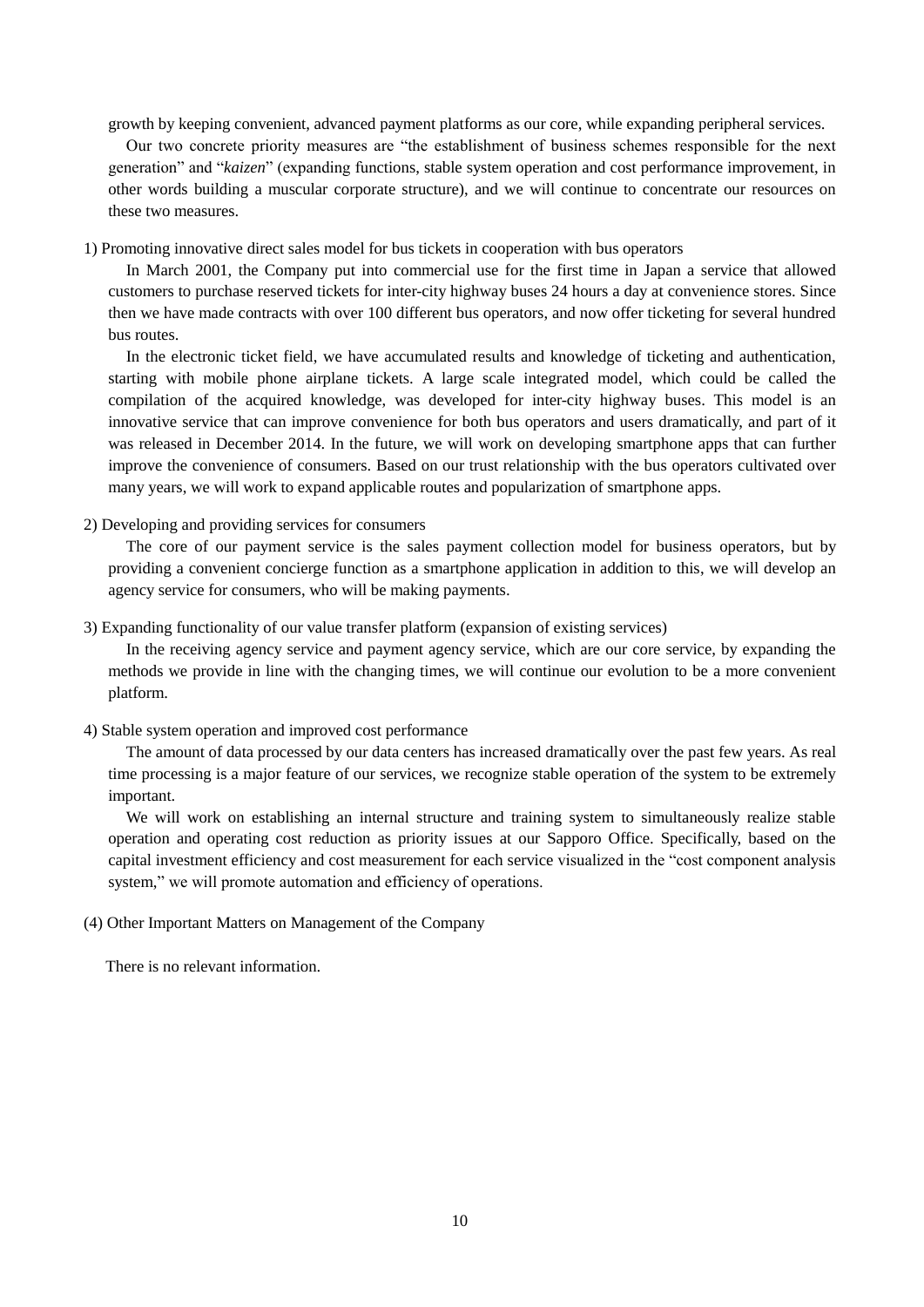growth by keeping convenient, advanced payment platforms as our core, while expanding peripheral services.

Our two concrete priority measures are "the establishment of business schemes responsible for the next generation" and "*kaizen*" (expanding functions, stable system operation and cost performance improvement, in other words building a muscular corporate structure), and we will continue to concentrate our resources on these two measures.

1) Promoting innovative direct sales model for bus tickets in cooperation with bus operators

In March 2001, the Company put into commercial use for the first time in Japan a service that allowed customers to purchase reserved tickets for inter-city highway buses 24 hours a day at convenience stores. Since then we have made contracts with over 100 different bus operators, and now offer ticketing for several hundred bus routes.

In the electronic ticket field, we have accumulated results and knowledge of ticketing and authentication, starting with mobile phone airplane tickets. A large scale integrated model, which could be called the compilation of the acquired knowledge, was developed for inter-city highway buses. This model is an innovative service that can improve convenience for both bus operators and users dramatically, and part of it was released in December 2014. In the future, we will work on developing smartphone apps that can further improve the convenience of consumers. Based on our trust relationship with the bus operators cultivated over many years, we will work to expand applicable routes and popularization of smartphone apps.

2) Developing and providing services for consumers

The core of our payment service is the sales payment collection model for business operators, but by providing a convenient concierge function as a smartphone application in addition to this, we will develop an agency service for consumers, who will be making payments.

3) Expanding functionality of our value transfer platform (expansion of existing services)

In the receiving agency service and payment agency service, which are our core service, by expanding the methods we provide in line with the changing times, we will continue our evolution to be a more convenient platform.

## 4) Stable system operation and improved cost performance

The amount of data processed by our data centers has increased dramatically over the past few years. As real time processing is a major feature of our services, we recognize stable operation of the system to be extremely important.

We will work on establishing an internal structure and training system to simultaneously realize stable operation and operating cost reduction as priority issues at our Sapporo Office. Specifically, based on the capital investment efficiency and cost measurement for each service visualized in the "cost component analysis system," we will promote automation and efficiency of operations.

## (4) Other Important Matters on Management of the Company

There is no relevant information.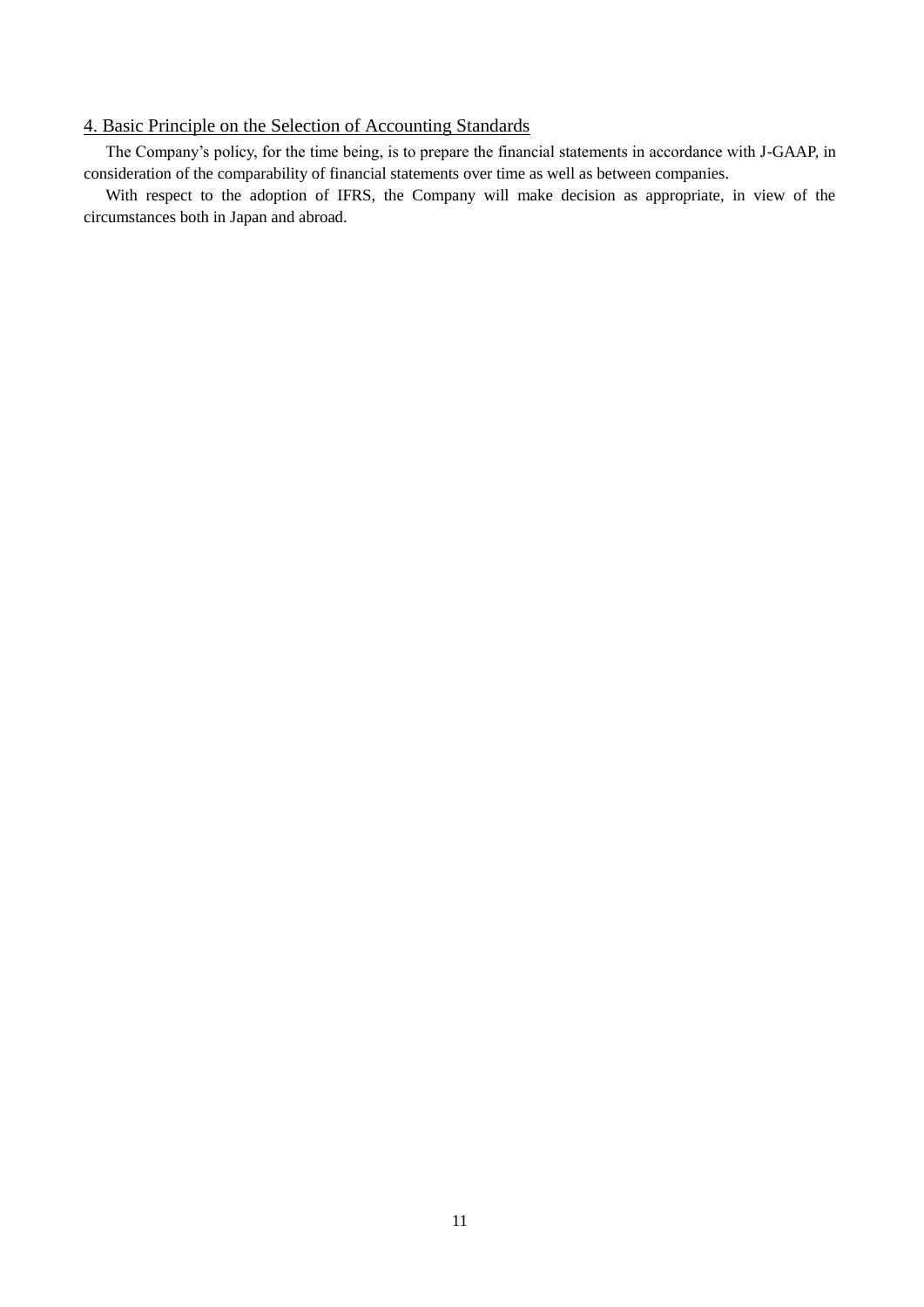## 4. Basic Principle on the Selection of Accounting Standards

The Company's policy, for the time being, is to prepare the financial statements in accordance with J-GAAP, in consideration of the comparability of financial statements over time as well as between companies.

With respect to the adoption of IFRS, the Company will make decision as appropriate, in view of the circumstances both in Japan and abroad.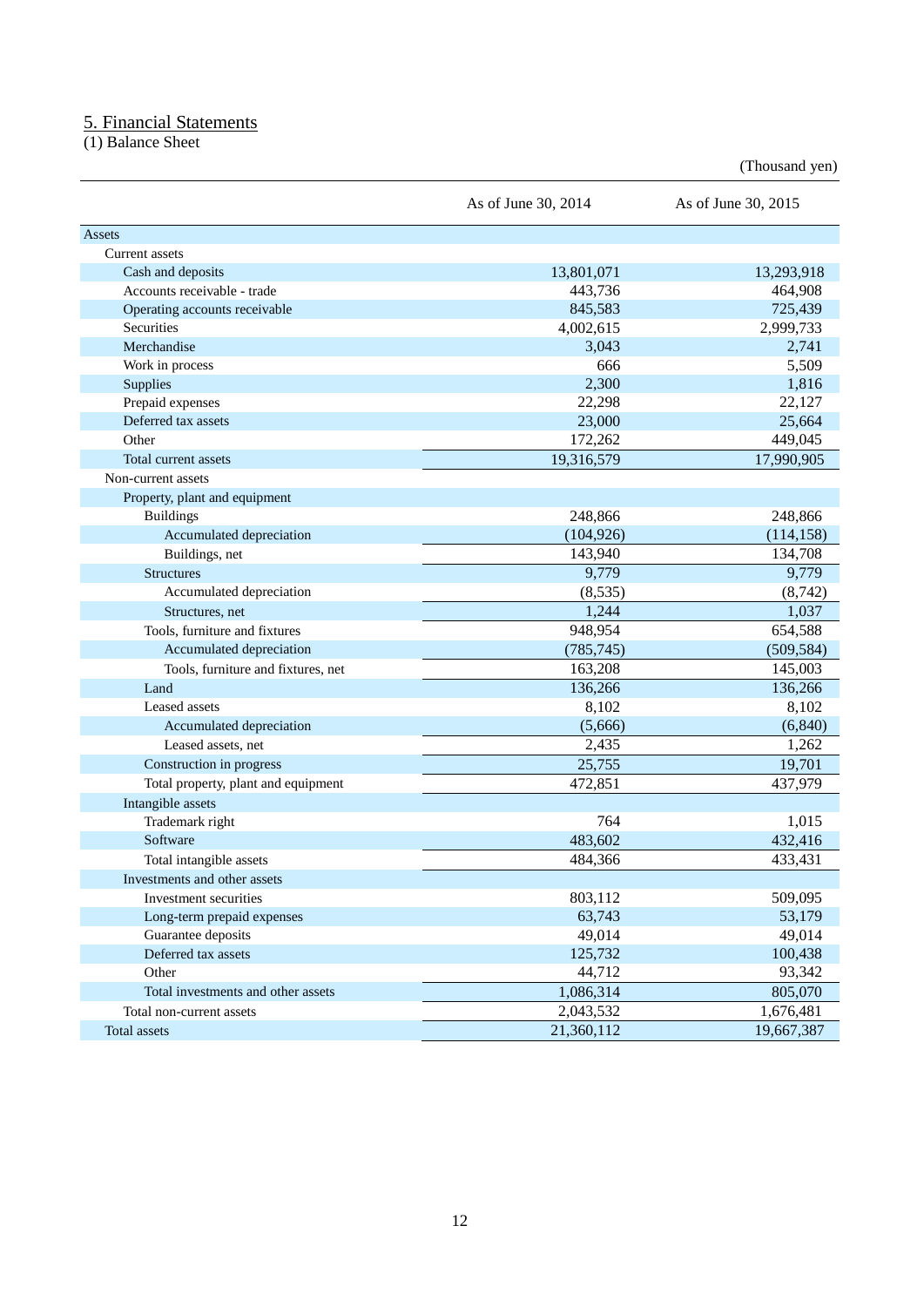## 5. Financial Statements

(1) Balance Sheet

(Thousand yen)

|                                     | As of June 30, 2014 | As of June 30, 2015 |
|-------------------------------------|---------------------|---------------------|
| Assets                              |                     |                     |
| Current assets                      |                     |                     |
| Cash and deposits                   | 13,801,071          | 13,293,918          |
| Accounts receivable - trade         | 443,736             | 464,908             |
| Operating accounts receivable       | 845,583             | 725,439             |
| Securities                          | 4,002,615           | 2,999,733           |
| Merchandise                         | 3,043               | 2,741               |
| Work in process                     | 666                 | 5,509               |
| Supplies                            | 2,300               | 1,816               |
| Prepaid expenses                    | 22,298              | 22,127              |
| Deferred tax assets                 | 23,000              | 25,664              |
| Other                               | 172,262             | 449,045             |
| Total current assets                | 19,316,579          | 17,990,905          |
| Non-current assets                  |                     |                     |
| Property, plant and equipment       |                     |                     |
| <b>Buildings</b>                    | 248,866             | 248,866             |
| Accumulated depreciation            | (104, 926)          | (114, 158)          |
| Buildings, net                      | 143,940             | 134,708             |
| <b>Structures</b>                   | 9,779               | 9,779               |
| Accumulated depreciation            | (8,535)             | (8, 742)            |
| Structures, net                     | 1,244               | 1,037               |
| Tools, furniture and fixtures       | 948,954             | 654,588             |
| Accumulated depreciation            | (785, 745)          | (509, 584)          |
| Tools, furniture and fixtures, net  | 163,208             | 145,003             |
| Land                                | 136,266             | 136,266             |
| Leased assets                       | 8,102               | 8,102               |
| Accumulated depreciation            | (5,666)             | (6, 840)            |
| Leased assets, net                  | 2,435               | 1,262               |
| Construction in progress            | 25,755              | 19,701              |
| Total property, plant and equipment | 472,851             | 437,979             |
| Intangible assets                   |                     |                     |
| Trademark right                     | 764                 | 1,015               |
| Software                            | 483,602             | 432,416             |
| Total intangible assets             | 484,366             | 433,431             |
| Investments and other assets        |                     |                     |
| Investment securities               | 803,112             | 509,095             |
| Long-term prepaid expenses          | 63,743              | 53,179              |
| Guarantee deposits                  | 49,014              | 49,014              |
| Deferred tax assets                 | 125,732             | 100,438             |
| Other                               | 44,712              | 93,342              |
| Total investments and other assets  | 1,086,314           | 805,070             |
| Total non-current assets            | 2,043,532           | 1,676,481           |
| Total assets                        | 21,360,112          | 19,667,387          |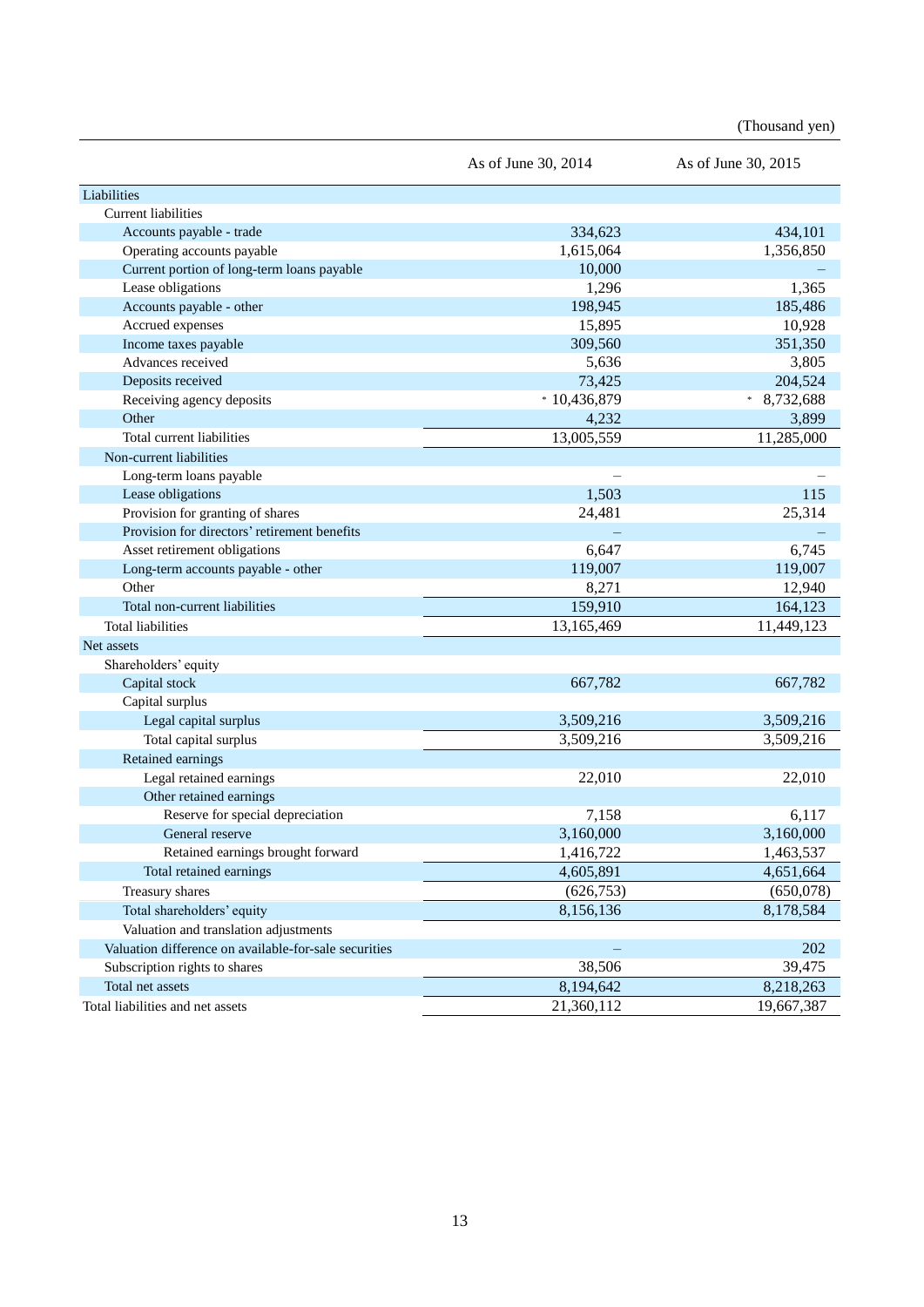(Thousand yen)

|                                                       | As of June 30, 2014 | As of June 30, 2015 |
|-------------------------------------------------------|---------------------|---------------------|
| Liabilities                                           |                     |                     |
| Current liabilities                                   |                     |                     |
| Accounts payable - trade                              | 334,623             | 434,101             |
| Operating accounts payable                            | 1,615,064           | 1,356,850           |
| Current portion of long-term loans payable            | 10,000              |                     |
| Lease obligations                                     | 1,296               | 1,365               |
| Accounts payable - other                              | 198,945             | 185,486             |
| Accrued expenses                                      | 15,895              | 10,928              |
| Income taxes payable                                  | 309,560             | 351,350             |
| Advances received                                     | 5,636               | 3,805               |
| Deposits received                                     | 73,425              | 204,524             |
| Receiving agency deposits                             | $*10,436,879$       | 8,732,688<br>$\ast$ |
| Other                                                 | 4,232               | 3,899               |
| Total current liabilities                             | 13,005,559          | 11,285,000          |
| Non-current liabilities                               |                     |                     |
| Long-term loans payable                               |                     |                     |
| Lease obligations                                     | 1,503               | 115                 |
| Provision for granting of shares                      | 24,481              | 25,314              |
| Provision for directors' retirement benefits          |                     |                     |
| Asset retirement obligations                          | 6,647               | 6,745               |
| Long-term accounts payable - other                    | 119,007             | 119,007             |
| Other                                                 | 8,271               | 12,940              |
| Total non-current liabilities                         | 159,910             | 164,123             |
| <b>Total liabilities</b>                              | 13,165,469          | 11,449,123          |
| Net assets                                            |                     |                     |
| Shareholders' equity                                  |                     |                     |
| Capital stock                                         | 667,782             | 667,782             |
| Capital surplus                                       |                     |                     |
| Legal capital surplus                                 | 3,509,216           | 3,509,216           |
| Total capital surplus                                 | 3,509,216           | 3,509,216           |
| Retained earnings                                     |                     |                     |
| Legal retained earnings                               | 22,010              | 22,010              |
| Other retained earnings                               |                     |                     |
| Reserve for special depreciation                      | 7,158               | 6,117               |
| General reserve                                       | 3,160,000           | 3,160,000           |
| Retained earnings brought forward                     | 1,416,722           | 1,463,537           |
| Total retained earnings                               | 4,605,891           | 4,651,664           |
| Treasury shares                                       | (626, 753)          | (650,078)           |
| Total shareholders' equity                            | 8,156,136           | 8,178,584           |
| Valuation and translation adjustments                 |                     |                     |
| Valuation difference on available-for-sale securities |                     | 202                 |
| Subscription rights to shares                         | 38,506              | 39,475              |
| Total net assets                                      | 8,194,642           | 8,218,263           |
| Total liabilities and net assets                      | 21,360,112          | 19,667,387          |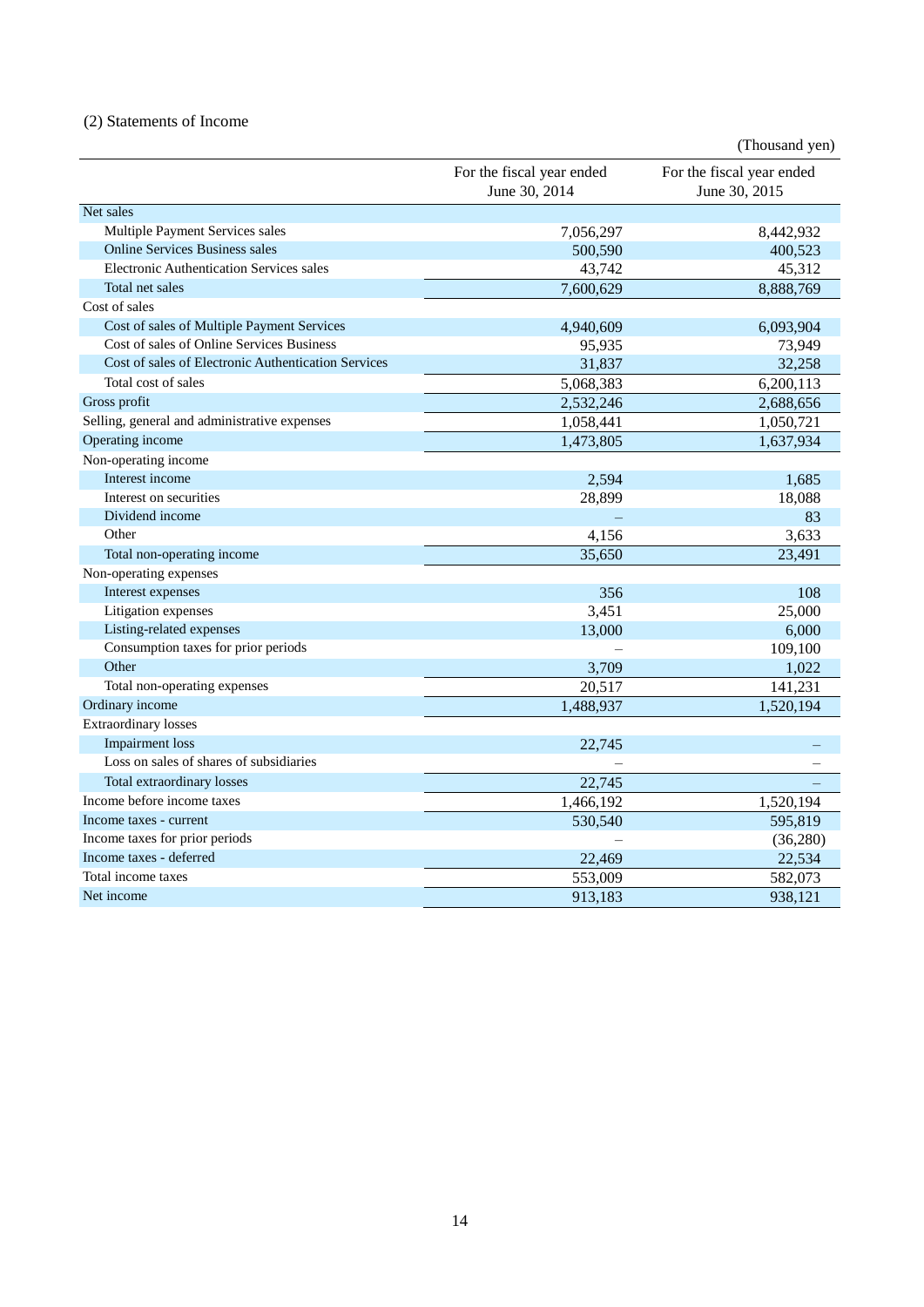## (2) Statements of Income

|                                                     |                                            | (Thousand yen)                             |
|-----------------------------------------------------|--------------------------------------------|--------------------------------------------|
|                                                     | For the fiscal year ended<br>June 30, 2014 | For the fiscal year ended<br>June 30, 2015 |
| Net sales                                           |                                            |                                            |
| Multiple Payment Services sales                     | 7,056,297                                  | 8,442,932                                  |
| <b>Online Services Business sales</b>               | 500,590                                    | 400,523                                    |
| <b>Electronic Authentication Services sales</b>     | 43,742                                     | 45,312                                     |
| Total net sales                                     | 7,600,629                                  | 8,888,769                                  |
| Cost of sales                                       |                                            |                                            |
| Cost of sales of Multiple Payment Services          | 4,940,609                                  | 6,093,904                                  |
| Cost of sales of Online Services Business           | 95,935                                     | 73,949                                     |
| Cost of sales of Electronic Authentication Services | 31,837                                     | 32,258                                     |
| Total cost of sales                                 | 5,068,383                                  | 6,200,113                                  |
| Gross profit                                        | 2,532,246                                  | 2,688,656                                  |
| Selling, general and administrative expenses        | 1,058,441                                  | 1,050,721                                  |
| Operating income                                    | 1,473,805                                  | 1,637,934                                  |
| Non-operating income                                |                                            |                                            |
| Interest income                                     | 2,594                                      | 1,685                                      |
| Interest on securities                              | 28,899                                     | 18,088                                     |
| Dividend income                                     |                                            | 83                                         |
| Other                                               | 4,156                                      | 3,633                                      |
| Total non-operating income                          | 35,650                                     | 23,491                                     |
| Non-operating expenses                              |                                            |                                            |
| Interest expenses                                   | 356                                        | 108                                        |
| Litigation expenses                                 | 3,451                                      | 25,000                                     |
| Listing-related expenses                            | 13,000                                     | 6,000                                      |
| Consumption taxes for prior periods                 |                                            | 109,100                                    |
| Other                                               | 3,709                                      | 1,022                                      |
| Total non-operating expenses                        | 20,517                                     | 141,231                                    |
| Ordinary income                                     | 1,488,937                                  | 1,520,194                                  |
| <b>Extraordinary losses</b>                         |                                            |                                            |
| <b>Impairment</b> loss                              | 22,745                                     |                                            |
| Loss on sales of shares of subsidiaries             |                                            |                                            |
| Total extraordinary losses                          | 22,745                                     |                                            |
| Income before income taxes                          | 1,466,192                                  | 1,520,194                                  |
| Income taxes - current                              | 530,540                                    | 595,819                                    |
| Income taxes for prior periods                      |                                            | (36,280)                                   |
| Income taxes - deferred                             | 22,469                                     | 22,534                                     |
| Total income taxes                                  | 553,009                                    | 582,073                                    |
| Net income                                          | 913,183                                    | 938,121                                    |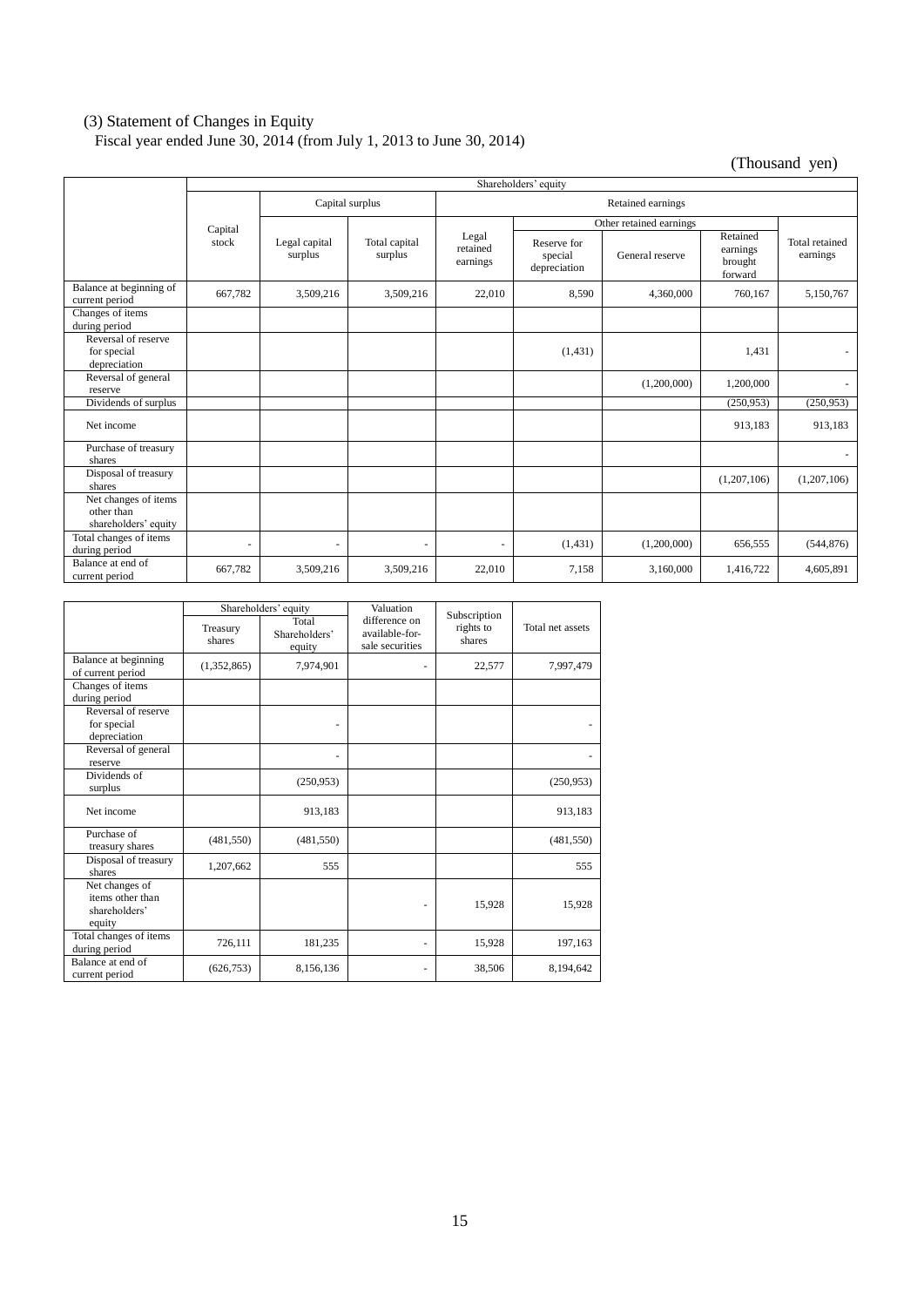#### (3) Statement of Changes in Equity

Fiscal year ended June 30, 2014 (from July 1, 2013 to June 30, 2014)

(Thousand yen)

|                                                            | Shareholders' equity |                          |                          |                               |                                        |                 |                                            |                            |  |
|------------------------------------------------------------|----------------------|--------------------------|--------------------------|-------------------------------|----------------------------------------|-----------------|--------------------------------------------|----------------------------|--|
|                                                            |                      | Capital surplus          |                          | Retained earnings             |                                        |                 |                                            |                            |  |
|                                                            |                      |                          |                          | Other retained earnings       |                                        |                 |                                            |                            |  |
|                                                            | Capital<br>stock     | Legal capital<br>surplus | Total capital<br>surplus | Legal<br>retained<br>earnings | Reserve for<br>special<br>depreciation | General reserve | Retained<br>earnings<br>brought<br>forward | Total retained<br>earnings |  |
| Balance at beginning of<br>current period                  | 667,782              | 3,509,216                | 3,509,216                | 22,010                        | 8,590                                  | 4,360,000       | 760,167                                    | 5,150,767                  |  |
| Changes of items<br>during period                          |                      |                          |                          |                               |                                        |                 |                                            |                            |  |
| Reversal of reserve<br>for special<br>depreciation         |                      |                          |                          |                               | (1, 431)                               |                 | 1.431                                      |                            |  |
| Reversal of general<br>reserve                             |                      |                          |                          |                               |                                        | (1,200,000)     | 1.200.000                                  | $\sim$                     |  |
| Dividends of surplus                                       |                      |                          |                          |                               |                                        |                 | (250,953)                                  | (250, 953)                 |  |
| Net income                                                 |                      |                          |                          |                               |                                        |                 | 913,183                                    | 913,183                    |  |
| Purchase of treasury<br>shares                             |                      |                          |                          |                               |                                        |                 |                                            |                            |  |
| Disposal of treasury<br>shares                             |                      |                          |                          |                               |                                        |                 | (1,207,106)                                | (1,207,106)                |  |
| Net changes of items<br>other than<br>shareholders' equity |                      |                          |                          |                               |                                        |                 |                                            |                            |  |
| Total changes of items<br>during period                    | ٠                    | ÷                        | $\sim$                   | $\sim$                        | (1, 431)                               | (1,200,000)     | 656,555                                    | (544, 876)                 |  |
| Balance at end of<br>current period                        | 667,782              | 3,509,216                | 3,509,216                | 22,010                        | 7,158                                  | 3,160,000       | 1,416,722                                  | 4,605,891                  |  |

|                                                               | Shareholders' equity |                                  | Valuation                                          |                                     |                  |
|---------------------------------------------------------------|----------------------|----------------------------------|----------------------------------------------------|-------------------------------------|------------------|
|                                                               | Treasury<br>shares   | Total<br>Shareholders'<br>equity | difference on<br>available-for-<br>sale securities | Subscription<br>rights to<br>shares | Total net assets |
| Balance at beginning<br>of current period                     | (1,352,865)          | 7,974,901                        |                                                    | 22,577                              | 7,997,479        |
| Changes of items<br>during period                             |                      |                                  |                                                    |                                     |                  |
| Reversal of reserve<br>for special<br>depreciation            |                      |                                  |                                                    |                                     |                  |
| Reversal of general<br>reserve                                |                      | ٠                                |                                                    |                                     |                  |
| Dividends of<br>surplus                                       |                      | (250,953)                        |                                                    |                                     | (250,953)        |
| Net income                                                    |                      | 913,183                          |                                                    |                                     | 913,183          |
| Purchase of<br>treasury shares                                | (481, 550)           | (481, 550)                       |                                                    |                                     | (481, 550)       |
| Disposal of treasury<br>shares                                | 1,207,662            | 555                              |                                                    |                                     | 555              |
| Net changes of<br>items other than<br>shareholders'<br>equity |                      |                                  |                                                    | 15,928                              | 15,928           |
| Total changes of items<br>during period                       | 726,111              | 181,235                          |                                                    | 15,928                              | 197,163          |
| Balance at end of<br>current period                           | (626, 753)           | 8,156,136                        |                                                    | 38,506                              | 8,194,642        |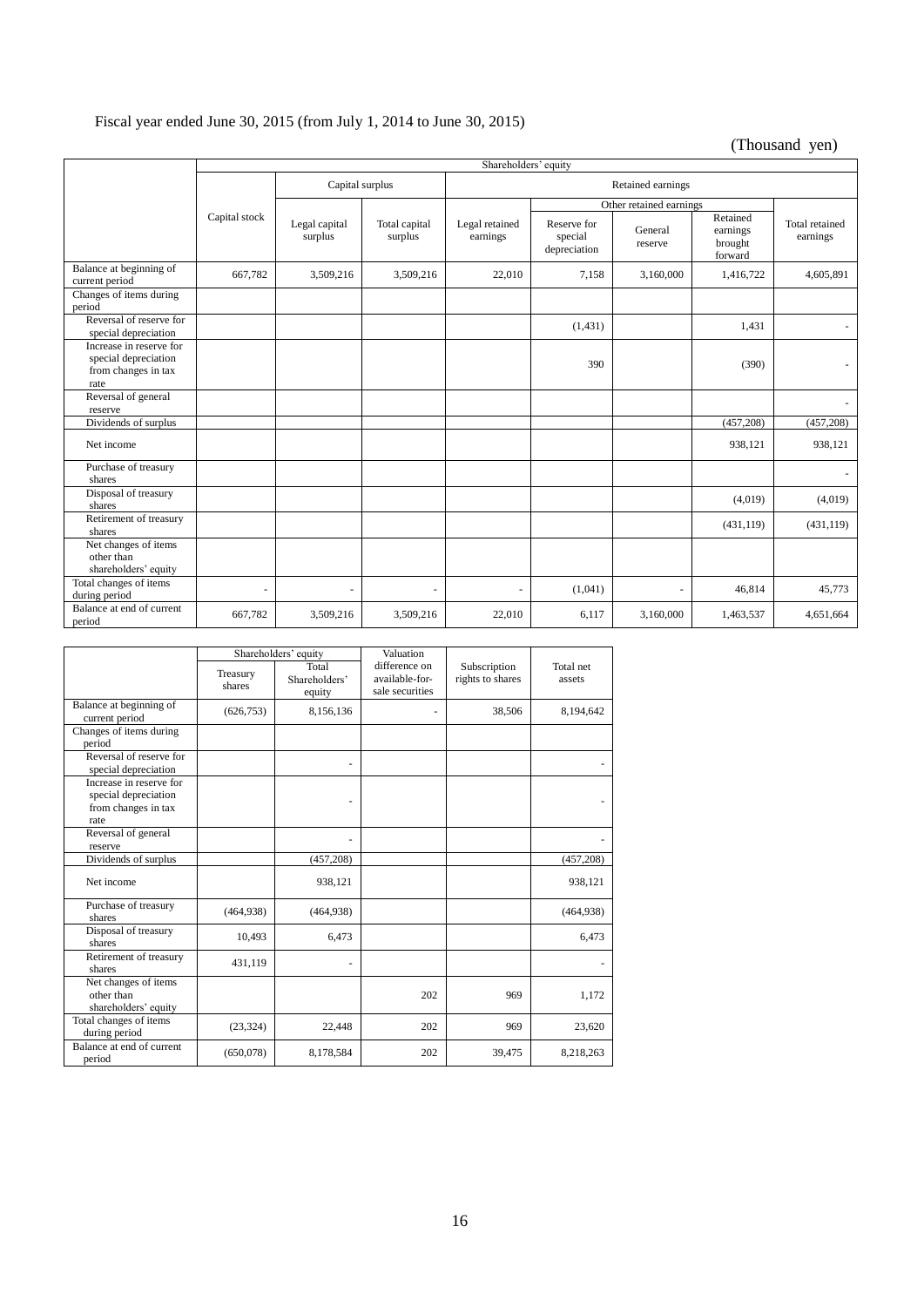## Fiscal year ended June 30, 2015 (from July 1, 2014 to June 30, 2015)

(Thousand yen)

|                                                                                | Shareholders' equity |                          |                          |                            |                                        |                          |                                            |                            |  |  |
|--------------------------------------------------------------------------------|----------------------|--------------------------|--------------------------|----------------------------|----------------------------------------|--------------------------|--------------------------------------------|----------------------------|--|--|
|                                                                                | Capital surplus      |                          |                          | Retained earnings          |                                        |                          |                                            |                            |  |  |
|                                                                                |                      |                          |                          |                            |                                        |                          |                                            |                            |  |  |
|                                                                                |                      |                          |                          |                            |                                        | Other retained earnings  |                                            |                            |  |  |
|                                                                                | Capital stock        | Legal capital<br>surplus | Total capital<br>surplus | Legal retained<br>earnings | Reserve for<br>special<br>depreciation | General<br>reserve       | Retained<br>earnings<br>brought<br>forward | Total retained<br>earnings |  |  |
| Balance at beginning of<br>current period                                      | 667,782              | 3,509,216                | 3,509,216                | 22,010                     | 7,158                                  | 3,160,000                | 1,416,722                                  | 4,605,891                  |  |  |
| Changes of items during<br>period                                              |                      |                          |                          |                            |                                        |                          |                                            |                            |  |  |
| Reversal of reserve for<br>special depreciation                                |                      |                          |                          |                            | (1, 431)                               |                          | 1,431                                      |                            |  |  |
| Increase in reserve for<br>special depreciation<br>from changes in tax<br>rate |                      |                          |                          |                            | 390                                    |                          | (390)                                      |                            |  |  |
| Reversal of general<br>reserve                                                 |                      |                          |                          |                            |                                        |                          |                                            |                            |  |  |
| Dividends of surplus                                                           |                      |                          |                          |                            |                                        |                          | (457, 208)                                 | (457, 208)                 |  |  |
| Net income                                                                     |                      |                          |                          |                            |                                        |                          | 938,121                                    | 938,121                    |  |  |
| Purchase of treasury<br>shares                                                 |                      |                          |                          |                            |                                        |                          |                                            |                            |  |  |
| Disposal of treasury<br>shares                                                 |                      |                          |                          |                            |                                        |                          | (4,019)                                    | (4,019)                    |  |  |
| Retirement of treasury<br>shares                                               |                      |                          |                          |                            |                                        |                          | (431, 119)                                 | (431, 119)                 |  |  |
| Net changes of items<br>other than<br>shareholders' equity                     |                      |                          |                          |                            |                                        |                          |                                            |                            |  |  |
| Total changes of items<br>during period                                        | ٠                    | $\sim$                   | $\overline{\phantom{a}}$ | $\sim$                     | (1,041)                                | $\overline{\phantom{a}}$ | 46,814                                     | 45,773                     |  |  |
| Balance at end of current<br>period                                            | 667,782              | 3,509,216                | 3,509,216                | 22,010                     | 6.117                                  | 3.160,000                | 1,463,537                                  | 4,651,664                  |  |  |

|                                                                                | Shareholders' equity |                                  | Valuation                                          |                                  |                     |
|--------------------------------------------------------------------------------|----------------------|----------------------------------|----------------------------------------------------|----------------------------------|---------------------|
|                                                                                | Treasury<br>shares   | Total<br>Shareholders'<br>equity | difference on<br>available-for-<br>sale securities | Subscription<br>rights to shares | Total net<br>assets |
| Balance at beginning of<br>current period                                      | (626, 753)           | 8,156,136                        |                                                    | 38,506                           | 8,194,642           |
| Changes of items during<br>period                                              |                      |                                  |                                                    |                                  |                     |
| Reversal of reserve for<br>special depreciation                                |                      |                                  |                                                    |                                  |                     |
| Increase in reserve for<br>special depreciation<br>from changes in tax<br>rate |                      |                                  |                                                    |                                  |                     |
| Reversal of general<br>reserve                                                 |                      |                                  |                                                    |                                  |                     |
| Dividends of surplus                                                           |                      | (457, 208)                       |                                                    |                                  | (457, 208)          |
| Net income                                                                     |                      | 938,121                          |                                                    |                                  | 938,121             |
| Purchase of treasury<br>shares                                                 | (464, 938)           | (464, 938)                       |                                                    |                                  | (464, 938)          |
| Disposal of treasury<br>shares                                                 | 10,493               | 6,473                            |                                                    |                                  | 6,473               |
| Retirement of treasury<br>shares                                               | 431,119              |                                  |                                                    |                                  |                     |
| Net changes of items<br>other than<br>shareholders' equity                     |                      |                                  | 202                                                | 969                              | 1,172               |
| Total changes of items<br>during period                                        | (23, 324)            | 22,448                           | 202                                                | 969                              | 23,620              |
| Balance at end of current<br>period                                            | (650,078)            | 8,178,584                        | 202                                                | 39,475                           | 8,218,263           |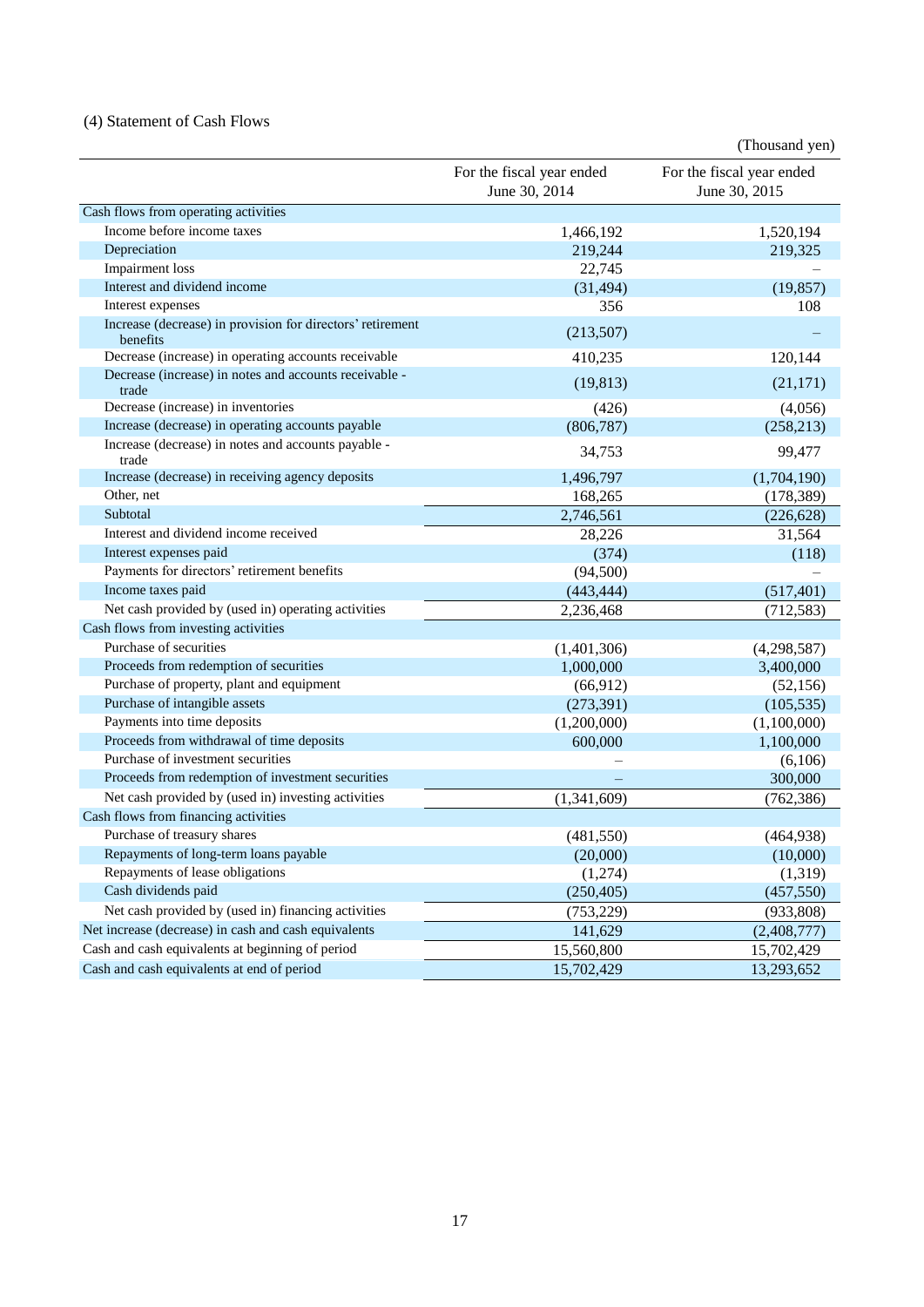## (4) Statement of Cash Flows

|                                                                        |                                            | (Thousand yen)                             |
|------------------------------------------------------------------------|--------------------------------------------|--------------------------------------------|
|                                                                        | For the fiscal year ended<br>June 30, 2014 | For the fiscal year ended<br>June 30, 2015 |
| Cash flows from operating activities                                   |                                            |                                            |
| Income before income taxes                                             | 1,466,192                                  | 1,520,194                                  |
| Depreciation                                                           | 219,244                                    | 219,325                                    |
| Impairment loss                                                        | 22,745                                     |                                            |
| Interest and dividend income                                           | (31, 494)                                  | (19, 857)                                  |
| Interest expenses                                                      | 356                                        | 108                                        |
| Increase (decrease) in provision for directors' retirement<br>benefits | (213,507)                                  |                                            |
| Decrease (increase) in operating accounts receivable                   | 410,235                                    | 120,144                                    |
| Decrease (increase) in notes and accounts receivable -<br>trade        | (19, 813)                                  | (21, 171)                                  |
| Decrease (increase) in inventories                                     | (426)                                      | (4,056)                                    |
| Increase (decrease) in operating accounts payable                      | (806, 787)                                 | (258, 213)                                 |
| Increase (decrease) in notes and accounts payable -<br>trade           | 34,753                                     | 99,477                                     |
| Increase (decrease) in receiving agency deposits                       | 1,496,797                                  | (1,704,190)                                |
| Other, net                                                             | 168,265                                    | (178, 389)                                 |
| Subtotal                                                               | 2,746,561                                  | (226, 628)                                 |
| Interest and dividend income received                                  | 28,226                                     | 31,564                                     |
| Interest expenses paid                                                 | (374)                                      | (118)                                      |
| Payments for directors' retirement benefits                            | (94, 500)                                  |                                            |
| Income taxes paid                                                      | (443, 444)                                 | (517, 401)                                 |
| Net cash provided by (used in) operating activities                    | 2,236,468                                  | (712, 583)                                 |
| Cash flows from investing activities                                   |                                            |                                            |
| Purchase of securities                                                 | (1,401,306)                                | (4,298,587)                                |
| Proceeds from redemption of securities                                 | 1,000,000                                  | 3,400,000                                  |
| Purchase of property, plant and equipment                              | (66, 912)                                  | (52, 156)                                  |
| Purchase of intangible assets                                          | (273, 391)                                 | (105, 535)                                 |
| Payments into time deposits                                            | (1,200,000)                                | (1,100,000)                                |
| Proceeds from withdrawal of time deposits                              | 600,000                                    | 1,100,000                                  |
| Purchase of investment securities                                      |                                            | (6,106)                                    |
| Proceeds from redemption of investment securities                      |                                            | 300,000                                    |
| Net cash provided by (used in) investing activities                    | (1,341,609)                                | (762, 386)                                 |
| Cash flows from financing activities                                   |                                            |                                            |
| Purchase of treasury shares                                            | (481, 550)                                 | (464, 938)                                 |
| Repayments of long-term loans payable                                  | (20,000)                                   | (10,000)                                   |
| Repayments of lease obligations                                        | (1,274)                                    | (1,319)                                    |
| Cash dividends paid                                                    | (250, 405)                                 | (457, 550)                                 |
| Net cash provided by (used in) financing activities                    | (753, 229)                                 | (933, 808)                                 |
| Net increase (decrease) in cash and cash equivalents                   | 141,629                                    | (2,408,777)                                |
| Cash and cash equivalents at beginning of period                       | 15,560,800                                 | 15,702,429                                 |
| Cash and cash equivalents at end of period                             | 15,702,429                                 | 13,293,652                                 |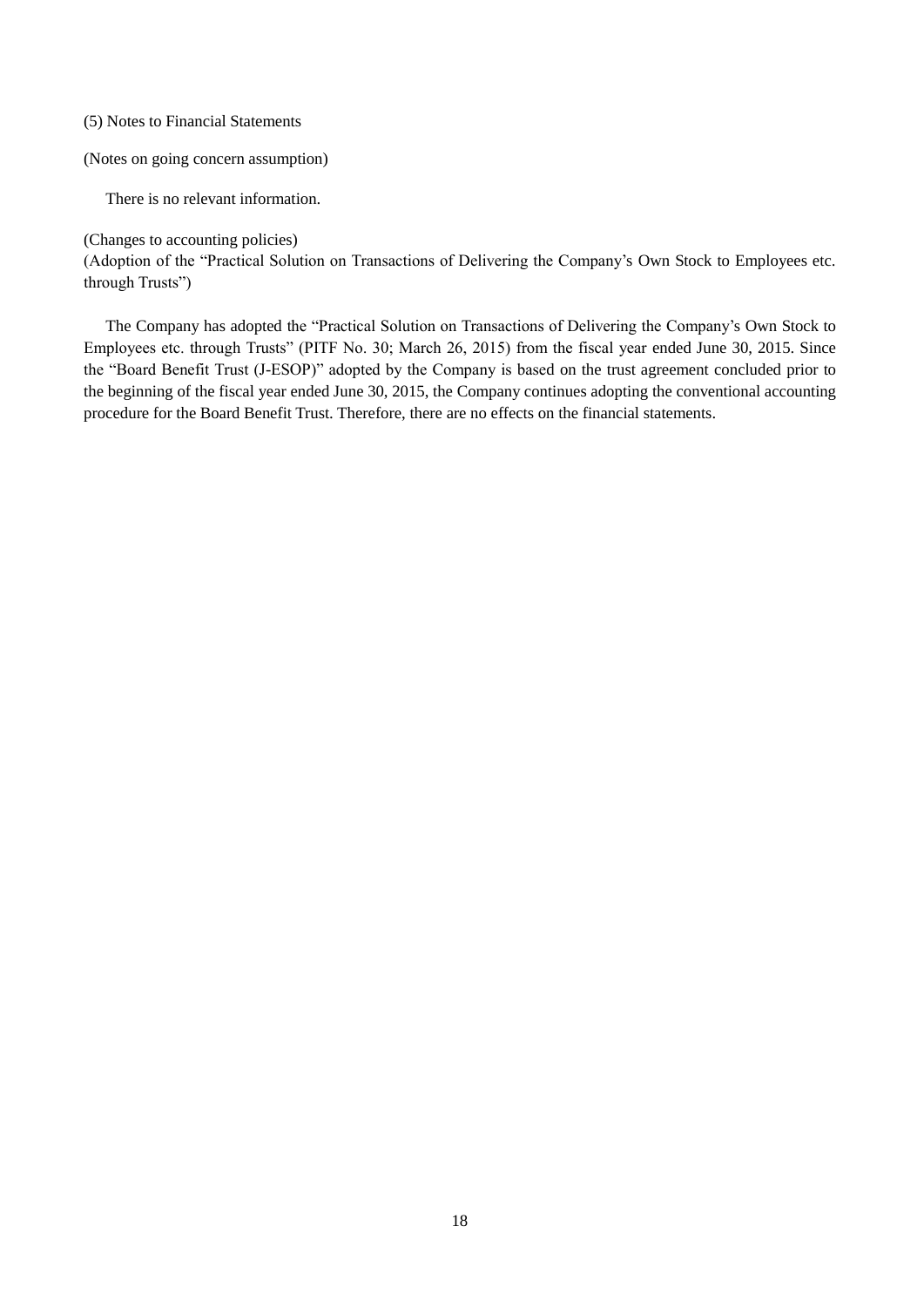### (5) Notes to Financial Statements

#### (Notes on going concern assumption)

There is no relevant information.

(Changes to accounting policies)

(Adoption of the "Practical Solution on Transactions of Delivering the Company's Own Stock to Employees etc. through Trusts")

The Company has adopted the "Practical Solution on Transactions of Delivering the Company's Own Stock to Employees etc. through Trusts" (PITF No. 30; March 26, 2015) from the fiscal year ended June 30, 2015. Since the "Board Benefit Trust (J-ESOP)" adopted by the Company is based on the trust agreement concluded prior to the beginning of the fiscal year ended June 30, 2015, the Company continues adopting the conventional accounting procedure for the Board Benefit Trust. Therefore, there are no effects on the financial statements.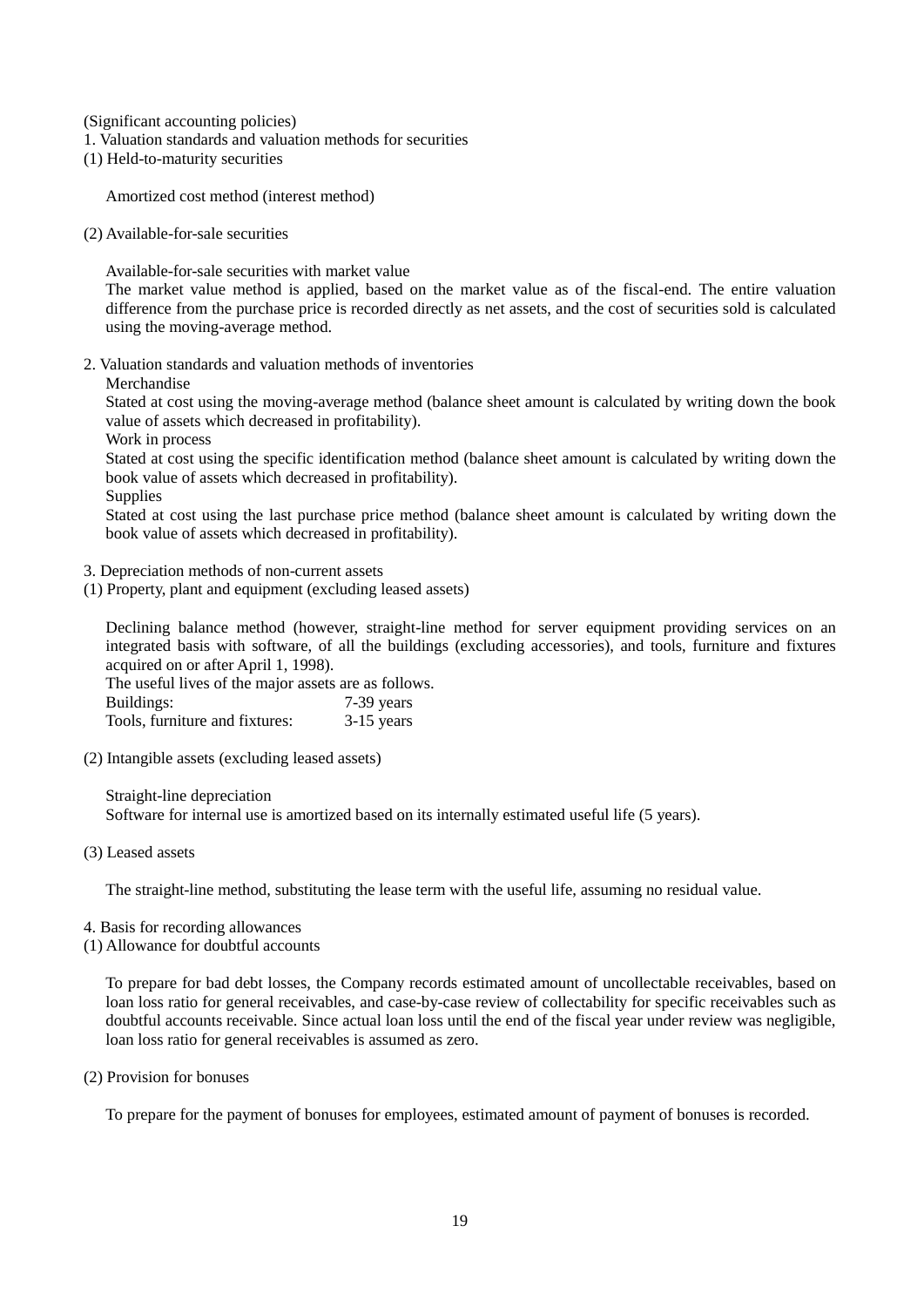(Significant accounting policies)

- 1. Valuation standards and valuation methods for securities
- (1) Held-to-maturity securities

Amortized cost method (interest method)

(2) Available-for-sale securities

Available-for-sale securities with market value

The market value method is applied, based on the market value as of the fiscal-end. The entire valuation difference from the purchase price is recorded directly as net assets, and the cost of securities sold is calculated using the moving-average method.

2. Valuation standards and valuation methods of inventories

Merchandise

Stated at cost using the moving-average method (balance sheet amount is calculated by writing down the book value of assets which decreased in profitability).

Work in process

Stated at cost using the specific identification method (balance sheet amount is calculated by writing down the book value of assets which decreased in profitability).

**Supplies** 

Stated at cost using the last purchase price method (balance sheet amount is calculated by writing down the book value of assets which decreased in profitability).

- 3. Depreciation methods of non-current assets
- (1) Property, plant and equipment (excluding leased assets)

Declining balance method (however, straight-line method for server equipment providing services on an integrated basis with software, of all the buildings (excluding accessories), and tools, furniture and fixtures acquired on or after April 1, 1998).

The useful lives of the major assets are as follows. Buildings: 7-39 years Tools, furniture and fixtures: 3-15 years

(2) Intangible assets (excluding leased assets)

Straight-line depreciation Software for internal use is amortized based on its internally estimated useful life (5 years).

(3) Leased assets

The straight-line method, substituting the lease term with the useful life, assuming no residual value.

- 4. Basis for recording allowances
- (1) Allowance for doubtful accounts

To prepare for bad debt losses, the Company records estimated amount of uncollectable receivables, based on loan loss ratio for general receivables, and case-by-case review of collectability for specific receivables such as doubtful accounts receivable. Since actual loan loss until the end of the fiscal year under review was negligible, loan loss ratio for general receivables is assumed as zero.

(2) Provision for bonuses

To prepare for the payment of bonuses for employees, estimated amount of payment of bonuses is recorded.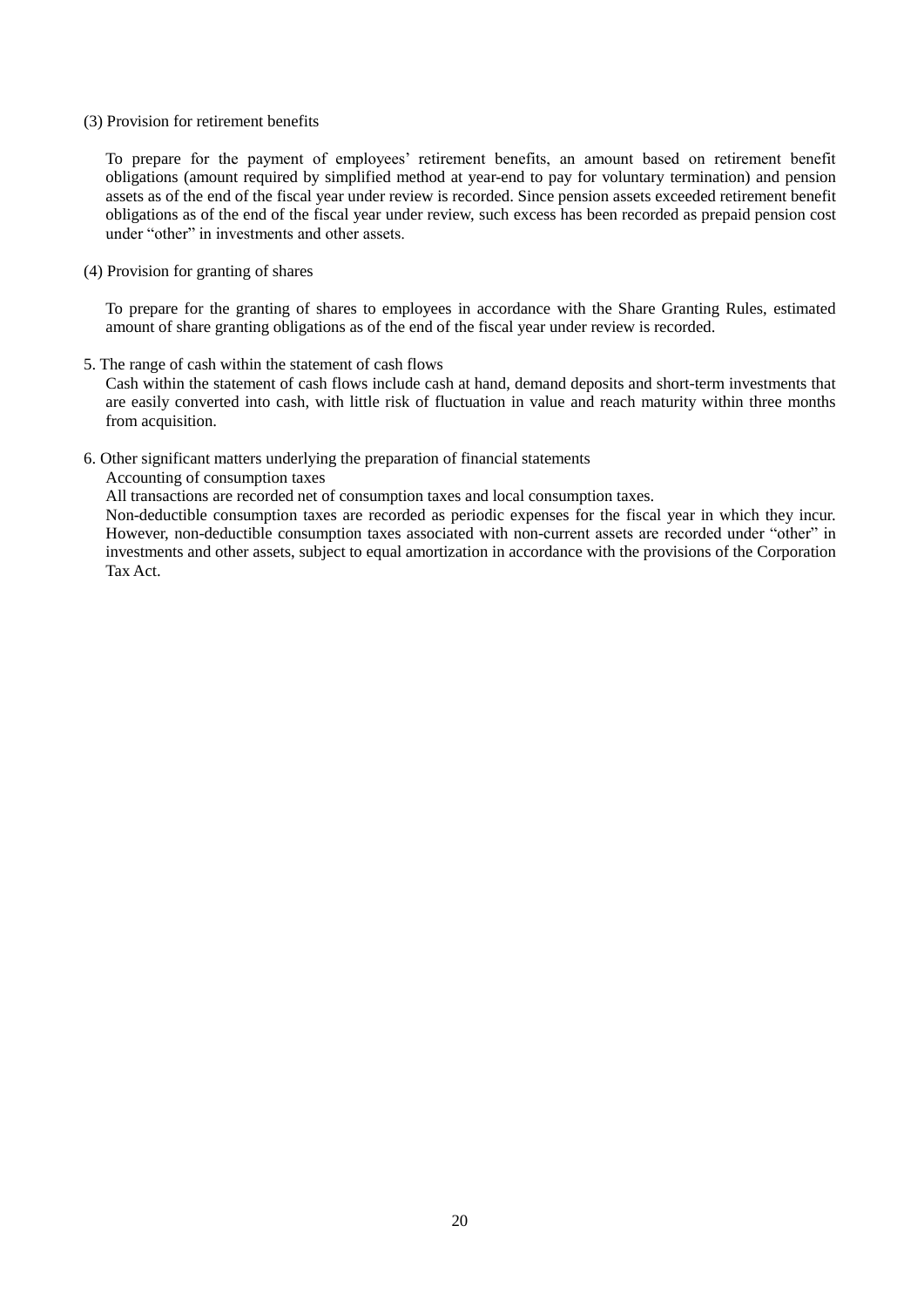#### (3) Provision for retirement benefits

To prepare for the payment of employees' retirement benefits, an amount based on retirement benefit obligations (amount required by simplified method at year-end to pay for voluntary termination) and pension assets as of the end of the fiscal year under review is recorded. Since pension assets exceeded retirement benefit obligations as of the end of the fiscal year under review, such excess has been recorded as prepaid pension cost under "other" in investments and other assets.

#### (4) Provision for granting of shares

To prepare for the granting of shares to employees in accordance with the Share Granting Rules, estimated amount of share granting obligations as of the end of the fiscal year under review is recorded.

5. The range of cash within the statement of cash flows

Cash within the statement of cash flows include cash at hand, demand deposits and short-term investments that are easily converted into cash, with little risk of fluctuation in value and reach maturity within three months from acquisition.

#### 6. Other significant matters underlying the preparation of financial statements

Accounting of consumption taxes

All transactions are recorded net of consumption taxes and local consumption taxes.

Non-deductible consumption taxes are recorded as periodic expenses for the fiscal year in which they incur. However, non-deductible consumption taxes associated with non-current assets are recorded under "other" in investments and other assets, subject to equal amortization in accordance with the provisions of the Corporation Tax Act.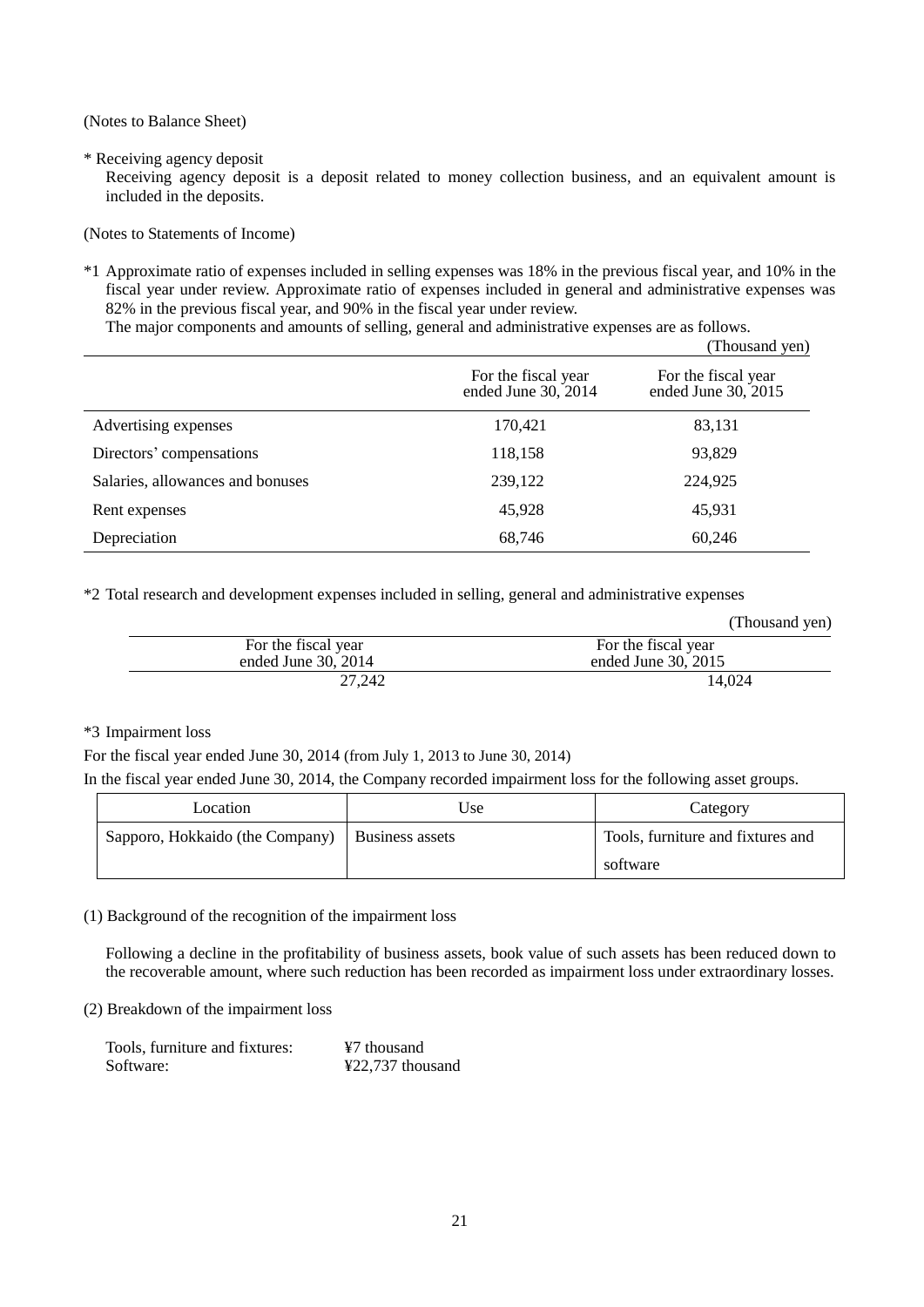(Notes to Balance Sheet)

\* Receiving agency deposit

Receiving agency deposit is a deposit related to money collection business, and an equivalent amount is included in the deposits.

(Notes to Statements of Income)

\*1 Approximate ratio of expenses included in selling expenses was 18% in the previous fiscal year, and 10% in the fiscal year under review. Approximate ratio of expenses included in general and administrative expenses was 82% in the previous fiscal year, and 90% in the fiscal year under review.

The major components and amounts of selling, general and administrative expenses are as follows.  $(T1 \t 1 \t \t \t 1$ 

|                                  |                                            | r Housand yen)                             |
|----------------------------------|--------------------------------------------|--------------------------------------------|
|                                  | For the fiscal year<br>ended June 30, 2014 | For the fiscal year<br>ended June 30, 2015 |
| Advertising expenses             | 170,421                                    | 83,131                                     |
| Directors' compensations         | 118,158                                    | 93,829                                     |
| Salaries, allowances and bonuses | 239,122                                    | 224,925                                    |
| Rent expenses                    | 45,928                                     | 45,931                                     |
| Depreciation                     | 68,746                                     | 60,246                                     |

\*2 Total research and development expenses included in selling, general and administrative expenses

|                     | (Thousand yen)       |
|---------------------|----------------------|
| For the fiscal year | For the fiscal year  |
| ended June 30, 2014 | ended June $30.2015$ |
| 27.242              | 14.024               |

## \*3 Impairment loss

For the fiscal year ended June 30, 2014 (from July 1, 2013 to June 30, 2014)

In the fiscal year ended June 30, 2014, the Company recorded impairment loss for the following asset groups.

| Location                        | Use             | Category                          |
|---------------------------------|-----------------|-----------------------------------|
| Sapporo, Hokkaido (the Company) | Business assets | Tools, furniture and fixtures and |
|                                 |                 | software                          |

(1) Background of the recognition of the impairment loss

Following a decline in the profitability of business assets, book value of such assets has been reduced down to the recoverable amount, where such reduction has been recorded as impairment loss under extraordinary losses.

(2) Breakdown of the impairment loss

| Tools, furniture and fixtures: | ¥7 thousand      |
|--------------------------------|------------------|
| Software:                      | ¥22,737 thousand |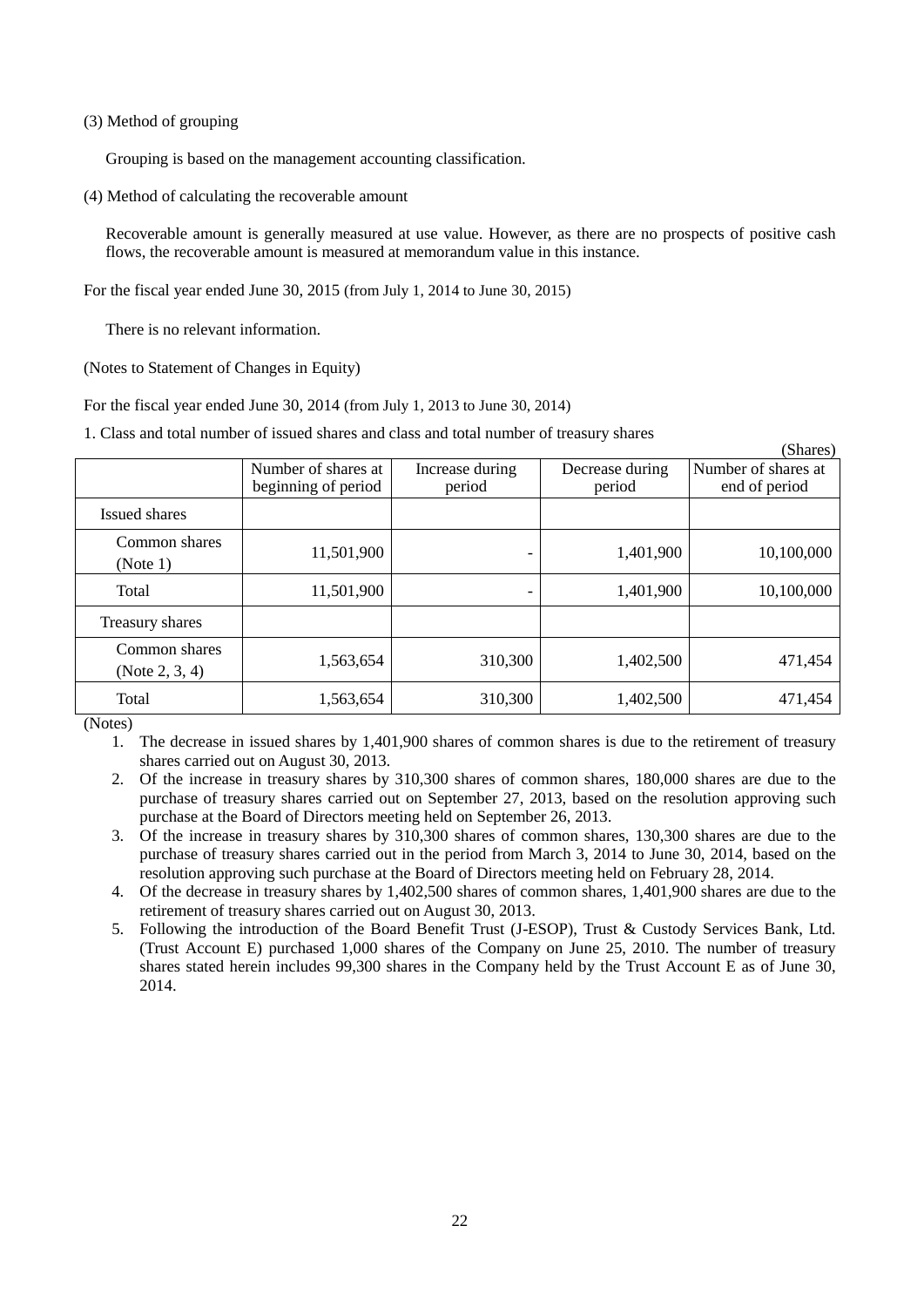### (3) Method of grouping

Grouping is based on the management accounting classification.

(4) Method of calculating the recoverable amount

Recoverable amount is generally measured at use value. However, as there are no prospects of positive cash flows, the recoverable amount is measured at memorandum value in this instance.

For the fiscal year ended June 30, 2015 (from July 1, 2014 to June 30, 2015)

There is no relevant information.

(Notes to Statement of Changes in Equity)

For the fiscal year ended June 30, 2014 (from July 1, 2013 to June 30, 2014)

1. Class and total number of issued shares and class and total number of treasury shares

|                                    |                                            |                           |                           | (Shares)                             |
|------------------------------------|--------------------------------------------|---------------------------|---------------------------|--------------------------------------|
|                                    | Number of shares at<br>beginning of period | Increase during<br>period | Decrease during<br>period | Number of shares at<br>end of period |
| Issued shares                      |                                            |                           |                           |                                      |
| Common shares<br>(Note 1)          | 11,501,900                                 | -                         | 1,401,900                 | 10,100,000                           |
| Total                              | 11,501,900                                 | -                         | 1,401,900                 | 10,100,000                           |
| Treasury shares                    |                                            |                           |                           |                                      |
| Common shares<br>(Note $2, 3, 4$ ) | 1,563,654                                  | 310,300                   | 1,402,500                 | 471,454                              |
| Total                              | 1,563,654                                  | 310,300                   | 1,402,500                 | 471,454                              |

(Notes)

1. The decrease in issued shares by 1,401,900 shares of common shares is due to the retirement of treasury shares carried out on August 30, 2013.

- 2. Of the increase in treasury shares by 310,300 shares of common shares, 180,000 shares are due to the purchase of treasury shares carried out on September 27, 2013, based on the resolution approving such purchase at the Board of Directors meeting held on September 26, 2013.
- 3. Of the increase in treasury shares by 310,300 shares of common shares, 130,300 shares are due to the purchase of treasury shares carried out in the period from March 3, 2014 to June 30, 2014, based on the resolution approving such purchase at the Board of Directors meeting held on February 28, 2014.
- 4. Of the decrease in treasury shares by 1,402,500 shares of common shares, 1,401,900 shares are due to the retirement of treasury shares carried out on August 30, 2013.
- 5. Following the introduction of the Board Benefit Trust (J-ESOP), Trust & Custody Services Bank, Ltd. (Trust Account E) purchased 1,000 shares of the Company on June 25, 2010. The number of treasury shares stated herein includes 99,300 shares in the Company held by the Trust Account E as of June 30, 2014.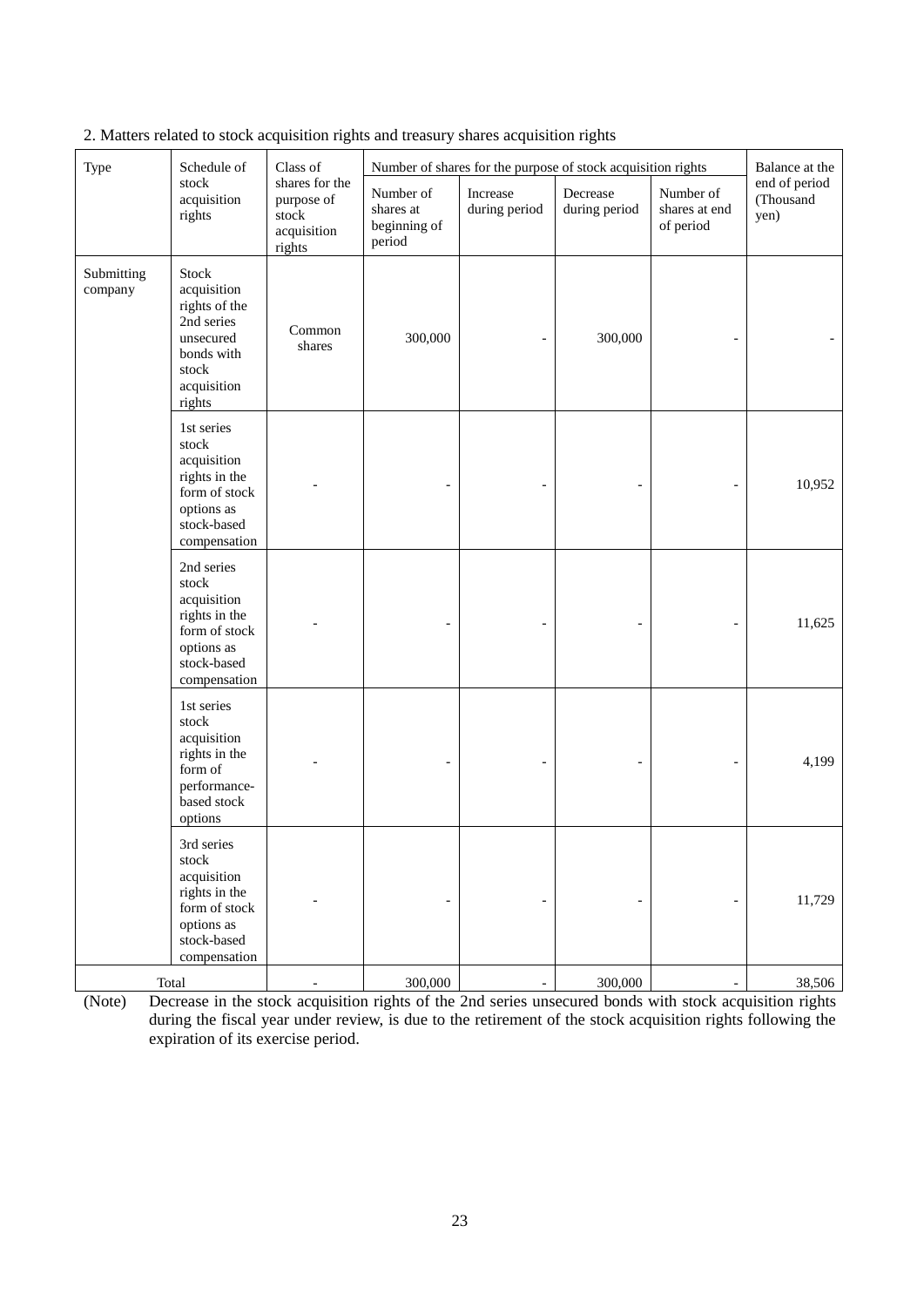| Type                  | Schedule of                                                                                                                                   | Class of                                                       | Number of shares for the purpose of stock acquisition rights | Balance at the            |                           |                                         |                                    |
|-----------------------|-----------------------------------------------------------------------------------------------------------------------------------------------|----------------------------------------------------------------|--------------------------------------------------------------|---------------------------|---------------------------|-----------------------------------------|------------------------------------|
|                       | stock<br>acquisition<br>rights                                                                                                                | shares for the<br>purpose of<br>stock<br>acquisition<br>rights | Number of<br>shares at<br>beginning of<br>period             | Increase<br>during period | Decrease<br>during period | Number of<br>shares at end<br>of period | end of period<br>(Thousand<br>yen) |
| Submitting<br>company | Stock<br>acquisition<br>rights of the<br>2nd series<br>unsecured<br>bonds with<br>stock<br>acquisition<br>rights                              | Common<br>shares                                               | 300,000                                                      | $\qquad \qquad -$         | 300,000                   |                                         |                                    |
|                       | 1st series<br>${\operatorname{\textsf{stock}}}$<br>acquisition<br>rights in the<br>form of stock<br>options as<br>stock-based<br>compensation |                                                                |                                                              |                           |                           |                                         | 10,952                             |
|                       | 2nd series<br>stock<br>acquisition<br>rights in the<br>form of stock<br>options as<br>stock-based<br>compensation                             |                                                                |                                                              |                           |                           |                                         | 11,625                             |
|                       | 1st series<br>${\sf stock}$<br>acquisition<br>rights in the<br>form of<br>performance-<br>based stock<br>options                              |                                                                |                                                              |                           |                           |                                         | 4,199                              |
|                       | 3rd series<br>stock<br>acquisition<br>rights in the<br>form of stock<br>options as<br>stock-based<br>compensation                             |                                                                |                                                              |                           |                           | $\overline{a}$                          | 11,729                             |
|                       | Total                                                                                                                                         |                                                                | 300,000                                                      | $\overline{\phantom{a}}$  | 300,000                   | $\overline{\phantom{a}}$                | 38,506                             |

2. Matters related to stock acquisition rights and treasury shares acquisition rights

(Note) Decrease in the stock acquisition rights of the 2nd series unsecured bonds with stock acquisition rights during the fiscal year under review, is due to the retirement of the stock acquisition rights following the expiration of its exercise period.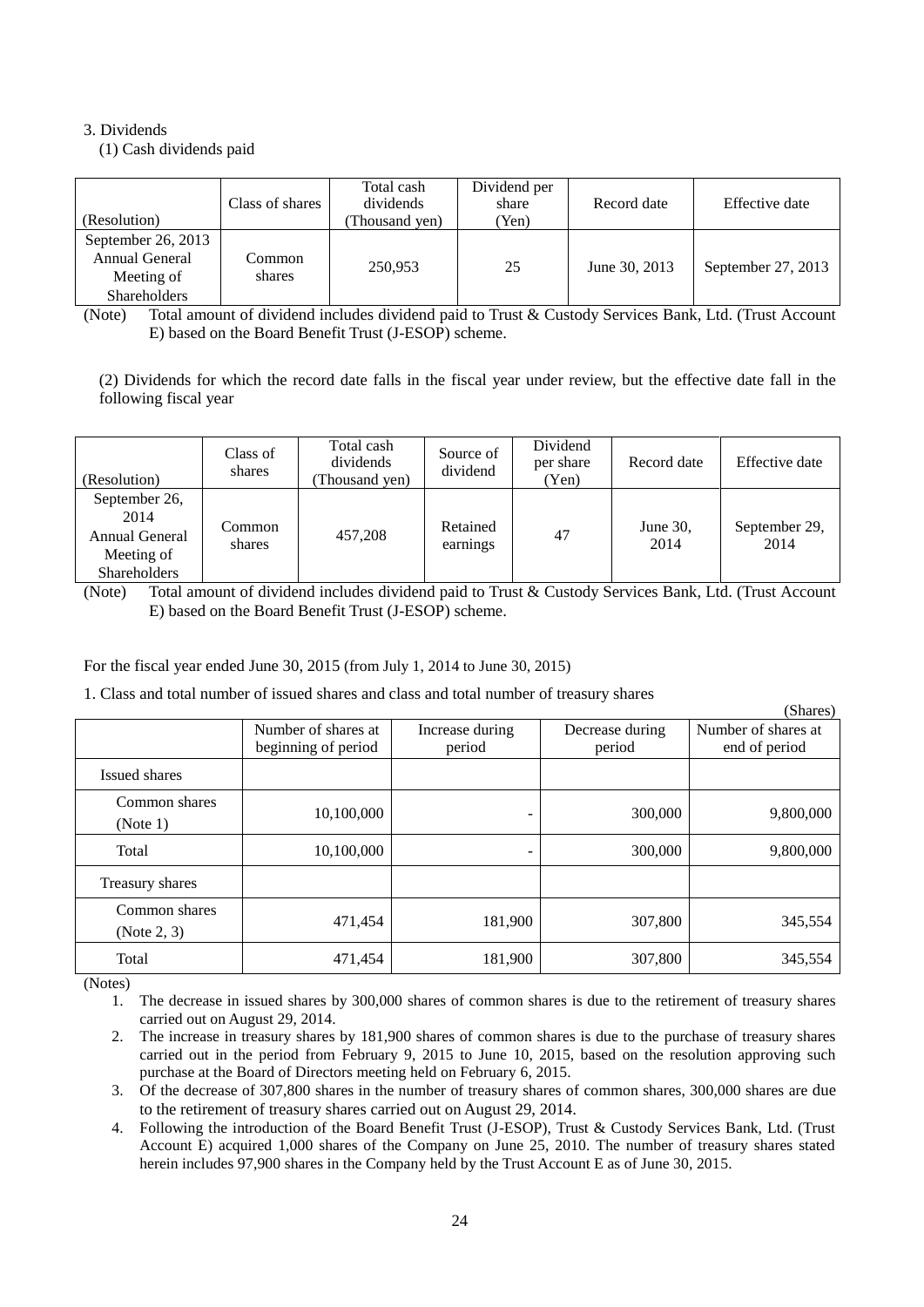## 3. Dividends

(1) Cash dividends paid

| (Resolution)                                                              | Class of shares  | Total cash<br>dividends<br>Thousand yen) | Dividend per<br>share<br>'Yen) | Record date   | Effective date     |
|---------------------------------------------------------------------------|------------------|------------------------------------------|--------------------------------|---------------|--------------------|
| September 26, 2013<br>Annual General<br>Meeting of<br><b>Shareholders</b> | Common<br>shares | 250.953                                  | 25                             | June 30, 2013 | September 27, 2013 |

(Note) Total amount of dividend includes dividend paid to Trust & Custody Services Bank, Ltd. (Trust Account E) based on the Board Benefit Trust (J-ESOP) scheme.

(2) Dividends for which the record date falls in the fiscal year under review, but the effective date fall in the following fiscal year

| (Resolution)                                                                 | Class of<br>shares | Total cash<br>dividends<br>Thousand yen) | Source of<br>dividend | Dividend<br>per share<br>(Yen) | Record date      | Effective date        |
|------------------------------------------------------------------------------|--------------------|------------------------------------------|-----------------------|--------------------------------|------------------|-----------------------|
| September 26,<br>2014<br>Annual General<br>Meeting of<br><b>Shareholders</b> | Common<br>shares   | 457,208                                  | Retained<br>earnings  | 47                             | June 30,<br>2014 | September 29,<br>2014 |

(Note) Total amount of dividend includes dividend paid to Trust & Custody Services Bank, Ltd. (Trust Account E) based on the Board Benefit Trust (J-ESOP) scheme.

For the fiscal year ended June 30, 2015 (from July 1, 2014 to June 30, 2015)

1. Class and total number of issued shares and class and total number of treasury shares

|                              |                                            |                           |                           | (Shares)                             |
|------------------------------|--------------------------------------------|---------------------------|---------------------------|--------------------------------------|
|                              | Number of shares at<br>beginning of period | Increase during<br>period | Decrease during<br>period | Number of shares at<br>end of period |
| Issued shares                |                                            |                           |                           |                                      |
| Common shares<br>(Note 1)    | 10,100,000                                 | -                         | 300,000                   | 9,800,000                            |
| Total                        | 10,100,000                                 | -                         | 300,000                   | 9,800,000                            |
| Treasury shares              |                                            |                           |                           |                                      |
| Common shares<br>(Note 2, 3) | 471,454                                    | 181,900                   | 307,800                   | 345,554                              |
| Total                        | 471,454                                    | 181,900                   | 307,800                   | 345,554                              |

(Notes)

1. The decrease in issued shares by 300,000 shares of common shares is due to the retirement of treasury shares carried out on August 29, 2014.

- 2. The increase in treasury shares by 181,900 shares of common shares is due to the purchase of treasury shares carried out in the period from February 9, 2015 to June 10, 2015, based on the resolution approving such purchase at the Board of Directors meeting held on February 6, 2015.
- 3. Of the decrease of 307,800 shares in the number of treasury shares of common shares, 300,000 shares are due to the retirement of treasury shares carried out on August 29, 2014.
- 4. Following the introduction of the Board Benefit Trust (J-ESOP), Trust & Custody Services Bank, Ltd. (Trust Account E) acquired 1,000 shares of the Company on June 25, 2010. The number of treasury shares stated herein includes 97,900 shares in the Company held by the Trust Account E as of June 30, 2015.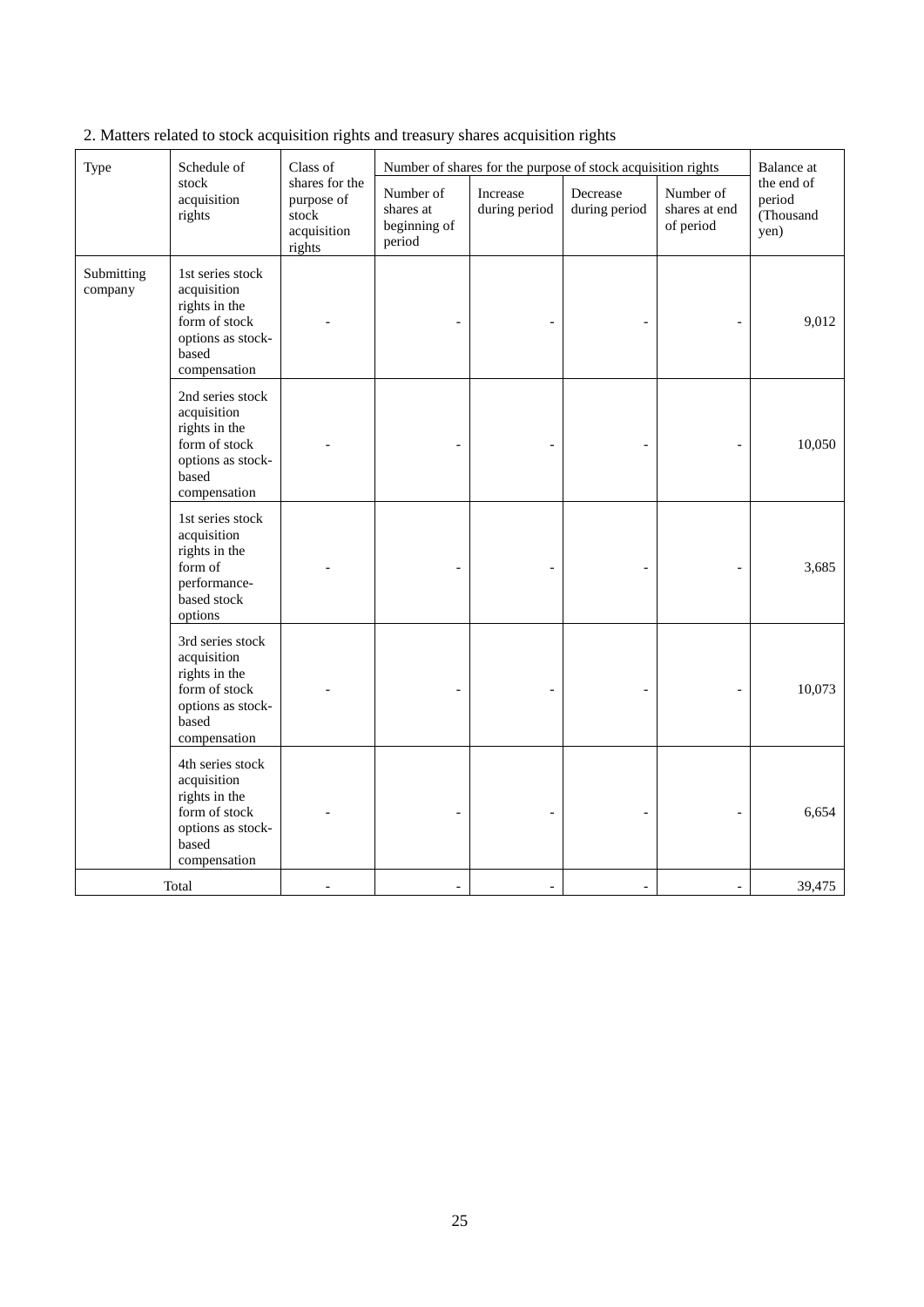| Type                  | Schedule of<br>stock<br>acquisition<br>rights                                                                   | Class of<br>shares for the<br>purpose of<br>stock<br>acquisition<br>rights | Number of<br>shares at<br>beginning of<br>period | Increase<br>during period | Number of shares for the purpose of stock acquisition rights<br>Decrease<br>during period | Number of<br>shares at end<br>of period | <b>Balance</b> at<br>the end of<br>period<br>(Thousand<br>yen) |
|-----------------------|-----------------------------------------------------------------------------------------------------------------|----------------------------------------------------------------------------|--------------------------------------------------|---------------------------|-------------------------------------------------------------------------------------------|-----------------------------------------|----------------------------------------------------------------|
| Submitting<br>company | 1st series stock<br>acquisition<br>rights in the<br>form of stock<br>options as stock-<br>based<br>compensation |                                                                            |                                                  |                           |                                                                                           |                                         | 9,012                                                          |
|                       | 2nd series stock<br>acquisition<br>rights in the<br>form of stock<br>options as stock-<br>based<br>compensation |                                                                            |                                                  |                           |                                                                                           |                                         | 10,050                                                         |
|                       | 1st series stock<br>acquisition<br>rights in the<br>form of<br>performance-<br>based stock<br>options           |                                                                            |                                                  |                           |                                                                                           |                                         | 3,685                                                          |
|                       | 3rd series stock<br>acquisition<br>rights in the<br>form of stock<br>options as stock-<br>based<br>compensation |                                                                            |                                                  |                           |                                                                                           |                                         | 10,073                                                         |
|                       | 4th series stock<br>acquisition<br>rights in the<br>form of stock<br>options as stock-<br>based<br>compensation |                                                                            |                                                  |                           |                                                                                           |                                         | 6,654                                                          |
|                       | Total                                                                                                           |                                                                            | $\bar{a}$                                        | $\blacksquare$            | $\overline{\phantom{a}}$                                                                  | $\overline{\phantom{a}}$                | 39,475                                                         |

2. Matters related to stock acquisition rights and treasury shares acquisition rights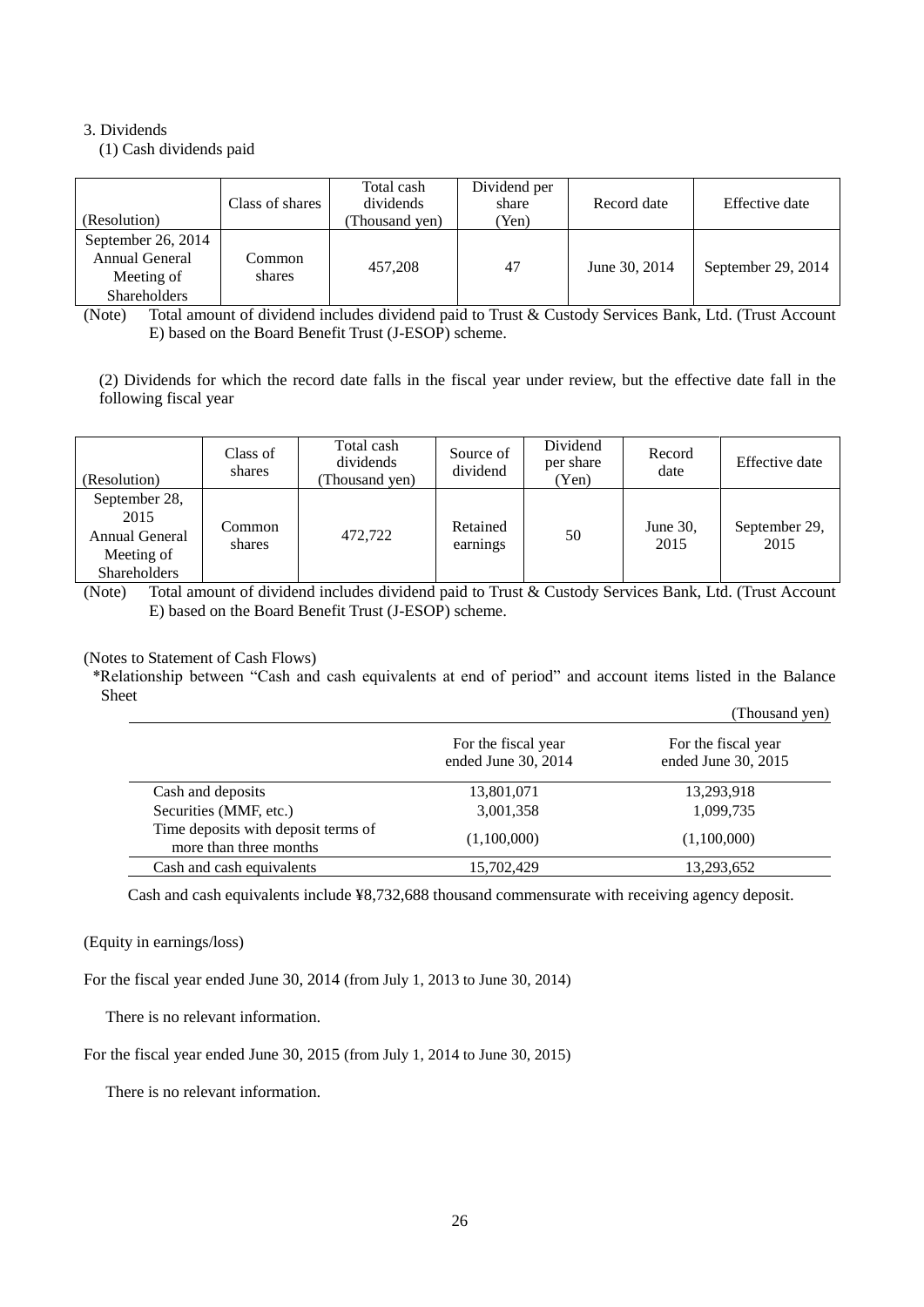## 3. Dividends

(1) Cash dividends paid

| (Resolution)                                                              | Class of shares  | Total cash<br>dividends<br>Thousand yen) | Dividend per<br>share<br>Yen) | Record date   | Effective date     |
|---------------------------------------------------------------------------|------------------|------------------------------------------|-------------------------------|---------------|--------------------|
| September 26, 2014<br>Annual General<br>Meeting of<br><b>Shareholders</b> | Common<br>shares | 457.208                                  | 47                            | June 30, 2014 | September 29, 2014 |

(Note) Total amount of dividend includes dividend paid to Trust & Custody Services Bank, Ltd. (Trust Account E) based on the Board Benefit Trust (J-ESOP) scheme.

(2) Dividends for which the record date falls in the fiscal year under review, but the effective date fall in the following fiscal year

| (Resolution)                                                          | Class of<br>shares | Total cash<br>dividends<br>Thousand yen) | Source of<br>dividend | Dividend<br>per share<br>Yen) | Record<br>date   | Effective date        |
|-----------------------------------------------------------------------|--------------------|------------------------------------------|-----------------------|-------------------------------|------------------|-----------------------|
| September 28,<br>2015<br>Annual General<br>Meeting of<br>Shareholders | Common<br>shares   | 472,722                                  | Retained<br>earnings  | 50                            | June 30,<br>2015 | September 29,<br>2015 |

(Note) Total amount of dividend includes dividend paid to Trust & Custody Services Bank, Ltd. (Trust Account E) based on the Board Benefit Trust (J-ESOP) scheme.

## (Notes to Statement of Cash Flows)

\*Relationship between "Cash and cash equivalents at end of period" and account items listed in the Balance Sheet (Thousand yen)

|                                                               |                                            | Thousand ven)                              |
|---------------------------------------------------------------|--------------------------------------------|--------------------------------------------|
|                                                               | For the fiscal year<br>ended June 30, 2014 | For the fiscal year<br>ended June 30, 2015 |
| Cash and deposits                                             | 13,801,071                                 | 13,293,918                                 |
| Securities (MMF, etc.)                                        | 3,001,358                                  | 1,099,735                                  |
| Time deposits with deposit terms of<br>more than three months | (1,100,000)                                | (1,100,000)                                |
| Cash and cash equivalents                                     | 15,702,429                                 | 13,293,652                                 |

Cash and cash equivalents include ¥8,732,688 thousand commensurate with receiving agency deposit.

## (Equity in earnings/loss)

For the fiscal year ended June 30, 2014 (from July 1, 2013 to June 30, 2014)

There is no relevant information.

For the fiscal year ended June 30, 2015 (from July 1, 2014 to June 30, 2015)

There is no relevant information.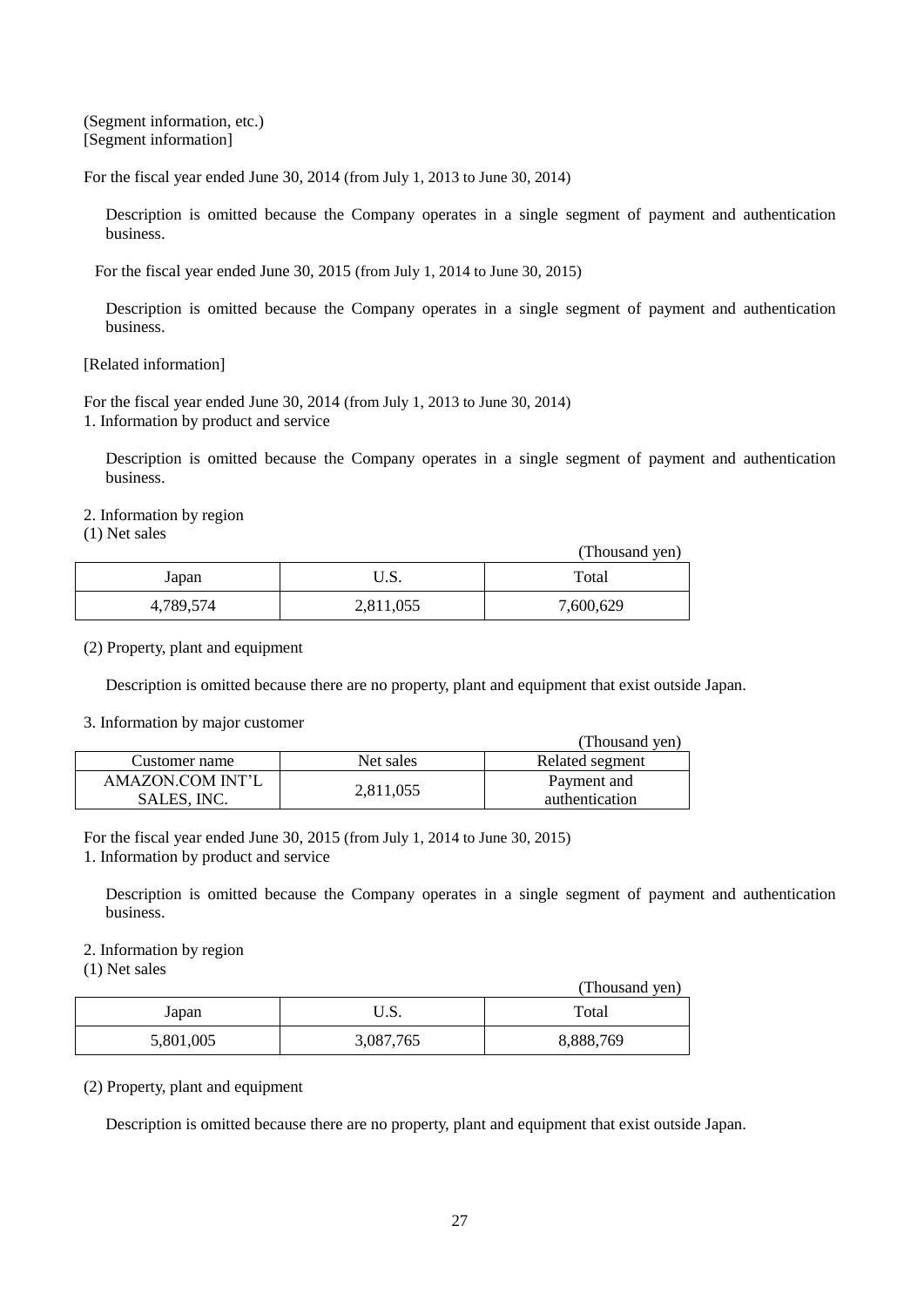(Segment information, etc.) [Segment information]

For the fiscal year ended June 30, 2014 (from July 1, 2013 to June 30, 2014)

Description is omitted because the Company operates in a single segment of payment and authentication business.

For the fiscal year ended June 30, 2015 (from July 1, 2014 to June 30, 2015)

Description is omitted because the Company operates in a single segment of payment and authentication business.

[Related information]

For the fiscal year ended June 30, 2014 (from July 1, 2013 to June 30, 2014) 1. Information by product and service

Description is omitted because the Company operates in a single segment of payment and authentication business.

2. Information by region

(1) Net sales

|           |           | (Thousand yen) |
|-----------|-----------|----------------|
| Japan     | ບ.ນ.      | Total          |
| 4,789,574 | 2,811,055 | 7,600,629      |

(2) Property, plant and equipment

Description is omitted because there are no property, plant and equipment that exist outside Japan.

3. Information by major customer

|                  |           | (Thousand yen)  |
|------------------|-----------|-----------------|
| Customer name    | Net sales | Related segment |
| AMAZON.COM INT'L |           | Payment and     |
| SALES, INC.      | 2,811,055 | authentication  |

For the fiscal year ended June 30, 2015 (from July 1, 2014 to June 30, 2015) 1. Information by product and service

Description is omitted because the Company operates in a single segment of payment and authentication business.

2. Information by region

(1) Net sales

|           |           | (Thousand yen) |
|-----------|-----------|----------------|
| Japan     | ∪.ບ.      | Total          |
| 5,801,005 | 3,087,765 | 8,888,769      |

(2) Property, plant and equipment

Description is omitted because there are no property, plant and equipment that exist outside Japan.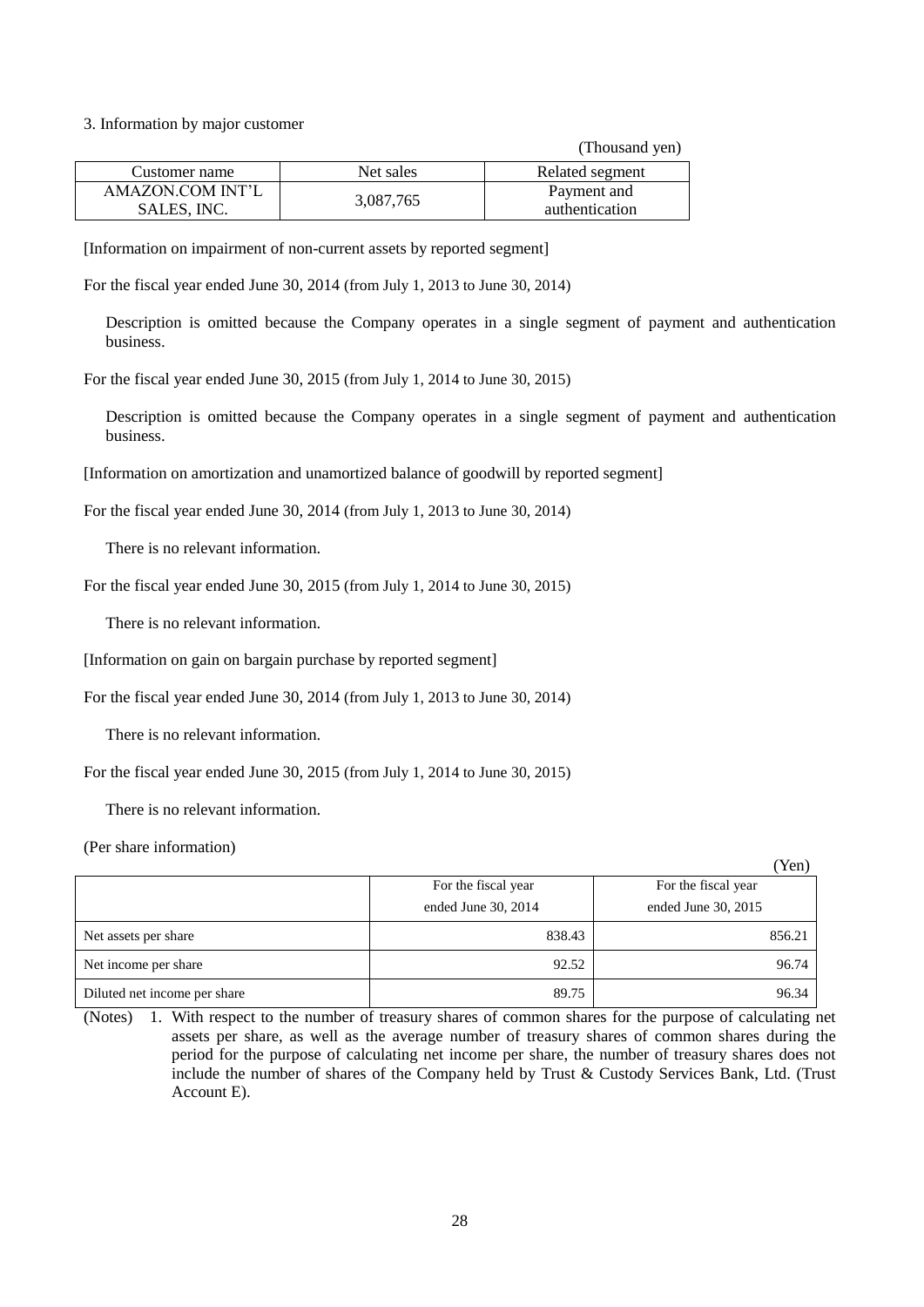3. Information by major customer

|                  |           | (Thousand yen)  |
|------------------|-----------|-----------------|
| Customer name    | Net sales | Related segment |
| AMAZON.COM INT'L |           | Payment and     |
| SALES, INC.      | 3,087,765 | authentication  |

[Information on impairment of non-current assets by reported segment]

For the fiscal year ended June 30, 2014 (from July 1, 2013 to June 30, 2014)

Description is omitted because the Company operates in a single segment of payment and authentication business.

For the fiscal year ended June 30, 2015 (from July 1, 2014 to June 30, 2015)

Description is omitted because the Company operates in a single segment of payment and authentication business.

[Information on amortization and unamortized balance of goodwill by reported segment]

For the fiscal year ended June 30, 2014 (from July 1, 2013 to June 30, 2014)

There is no relevant information.

For the fiscal year ended June 30, 2015 (from July 1, 2014 to June 30, 2015)

There is no relevant information.

[Information on gain on bargain purchase by reported segment]

For the fiscal year ended June 30, 2014 (from July 1, 2013 to June 30, 2014)

There is no relevant information.

For the fiscal year ended June 30, 2015 (from July 1, 2014 to June 30, 2015)

There is no relevant information.

(Per share information)

|                              |                     | ICII                |
|------------------------------|---------------------|---------------------|
|                              | For the fiscal year | For the fiscal year |
|                              | ended June 30, 2014 | ended June 30, 2015 |
| Net assets per share         | 838.43              | 856.21              |
| Net income per share         | 92.52               | 96.74               |
| Diluted net income per share | 89.75               | 96.34               |

 $(V_{\alpha n})$ 

<sup>(</sup>Notes) 1. With respect to the number of treasury shares of common shares for the purpose of calculating net assets per share, as well as the average number of treasury shares of common shares during the period for the purpose of calculating net income per share, the number of treasury shares does not include the number of shares of the Company held by Trust & Custody Services Bank, Ltd. (Trust Account E).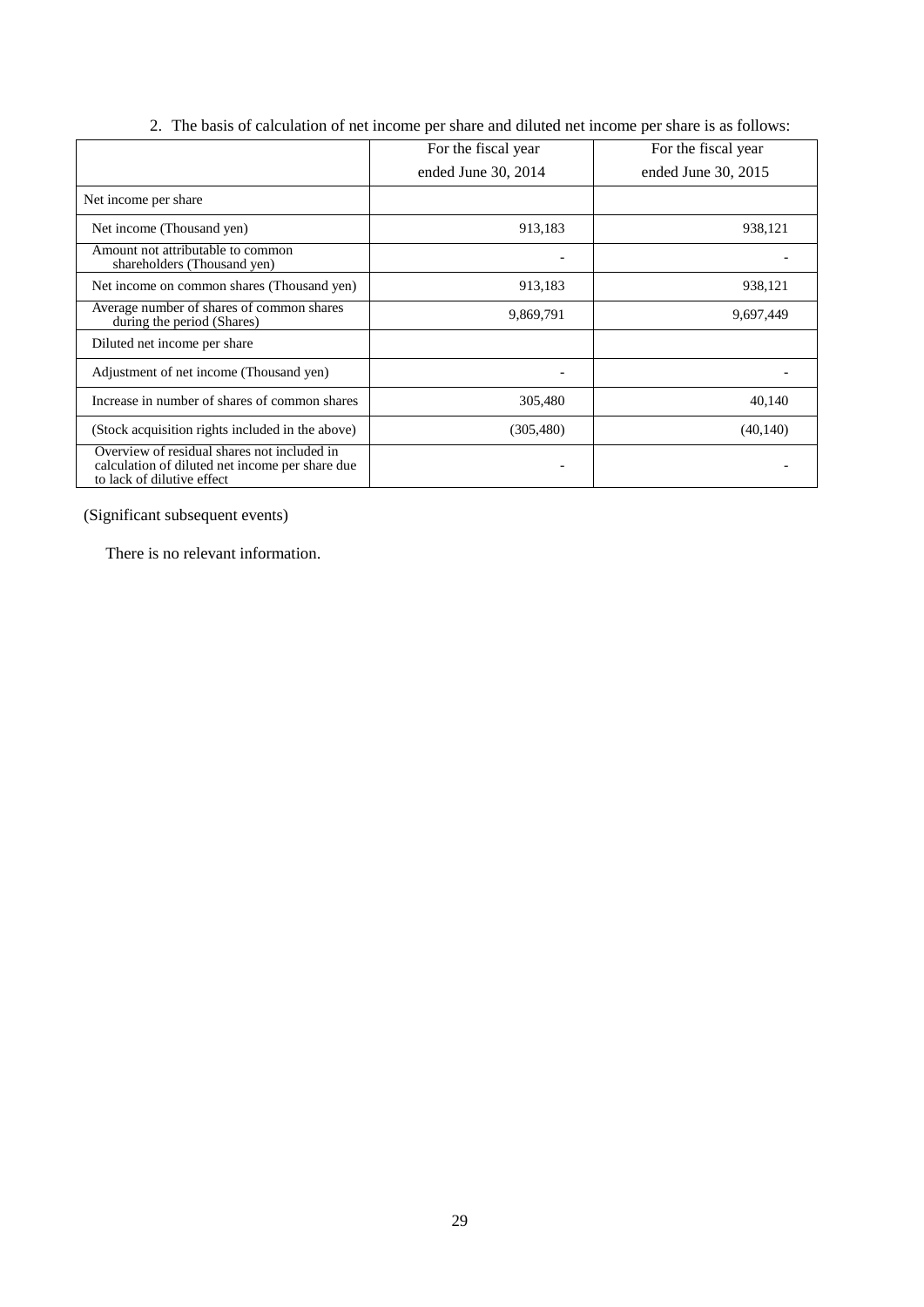|                                                                                                                              | For the fiscal year | For the fiscal year |
|------------------------------------------------------------------------------------------------------------------------------|---------------------|---------------------|
|                                                                                                                              | ended June 30, 2014 | ended June 30, 2015 |
| Net income per share                                                                                                         |                     |                     |
| Net income (Thousand yen)                                                                                                    | 913,183             | 938,121             |
| Amount not attributable to common<br>shareholders (Thousand yen)                                                             |                     |                     |
| Net income on common shares (Thousand yen)                                                                                   | 913,183             | 938,121             |
| Average number of shares of common shares<br>during the period (Shares)                                                      | 9,869,791           | 9,697,449           |
| Diluted net income per share                                                                                                 |                     |                     |
| Adjustment of net income (Thousand yen)                                                                                      |                     |                     |
| Increase in number of shares of common shares                                                                                | 305,480             | 40,140              |
| (Stock acquisition rights included in the above)                                                                             | (305, 480)          | (40, 140)           |
| Overview of residual shares not included in<br>calculation of diluted net income per share due<br>to lack of dilutive effect |                     |                     |

2. The basis of calculation of net income per share and diluted net income per share is as follows:

(Significant subsequent events)

There is no relevant information.